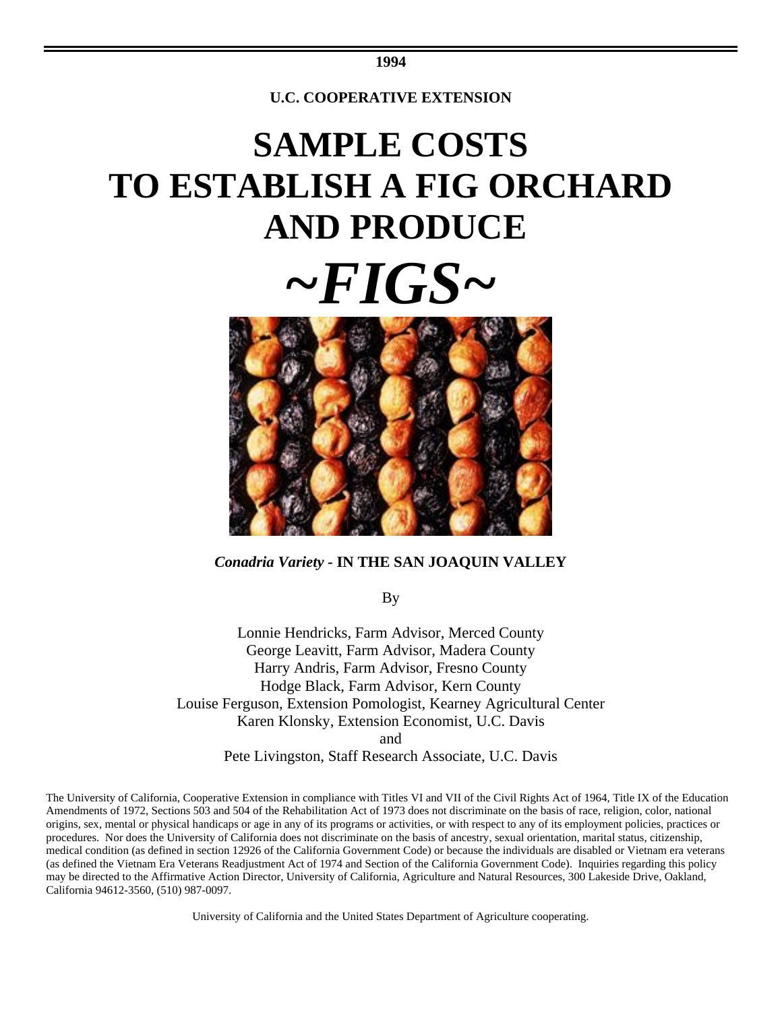# **SAMPLE COSTS TO ESTABLISH A FIG ORCHARD AND PRODUCE**





#### *Conadria Variety -* **IN THE SAN JOAQUIN VALLEY**

By

Lonnie Hendricks, Farm Advisor, Merced County George Leavitt, Farm Advisor, Madera County Harry Andris, Farm Advisor, Fresno County Hodge Black, Farm Advisor, Kern County Louise Ferguson, Extension Pomologist, Kearney Agricultural Center Karen Klonsky, Extension Economist, U.C. Davis and

Pete Livingston, Staff Research Associate, U.C. Davis

The University of California, Cooperative Extension in compliance with Titles VI and VII of the Civil Rights Act of 1964, Title IX of the Education Amendments of 1972, Sections 503 and 504 of the Rehabilitation Act of 1973 does not discriminate on the basis of race, religion, color, national origins, sex, mental or physical handicaps or age in any of its programs or activities, or with respect to any of its employment policies, practices or procedures. Nor does the University of California does not discriminate on the basis of ancestry, sexual orientation, marital status, citizenship, medical condition (as defined in section 12926 of the California Government Code) or because the individuals are disabled or Vietnam era veterans (as defined the Vietnam Era Veterans Readjustment Act of 1974 and Section of the California Government Code). Inquiries regarding this policy may be directed to the Affirmative Action Director, University of California, Agriculture and Natural Resources, 300 Lakeside Drive, Oakland, California 94612-3560, (510) 987-0097.

University of California and the United States Department of Agriculture cooperating.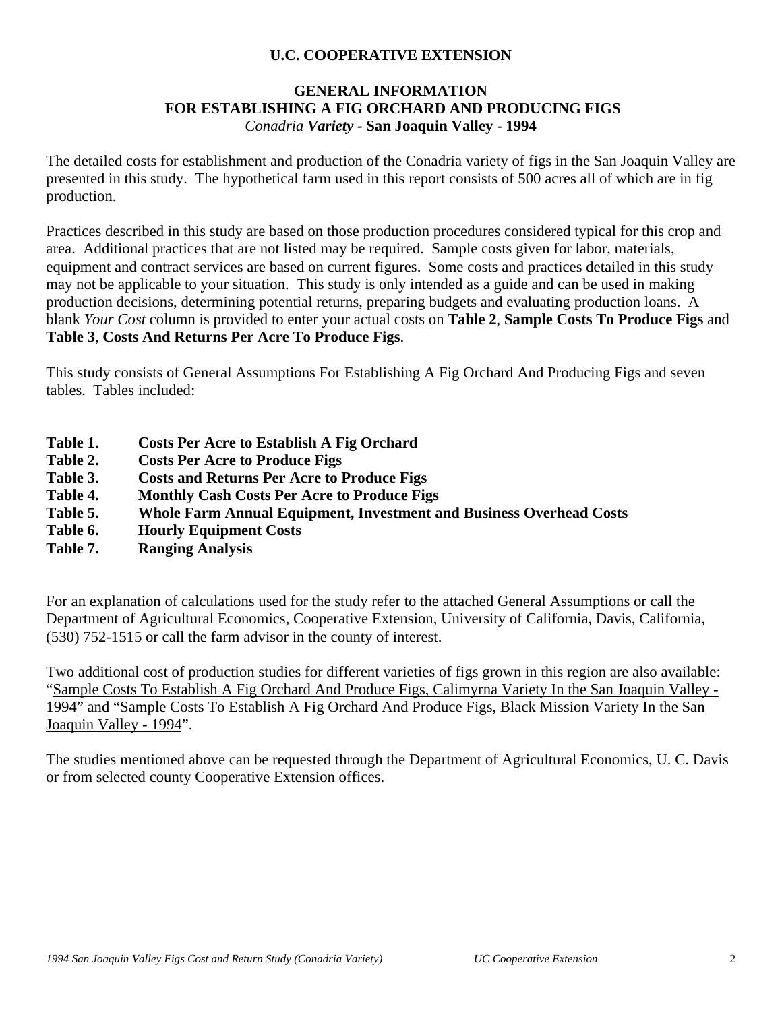### **GENERAL INFORMATION FOR ESTABLISHING A FIG ORCHARD AND PRODUCING FIGS** *Conadria Variety -* **San Joaquin Valley - 1994**

The detailed costs for establishment and production of the Conadria variety of figs in the San Joaquin Valley are presented in this study. The hypothetical farm used in this report consists of 500 acres all of which are in fig production.

Practices described in this study are based on those production procedures considered typical for this crop and area. Additional practices that are not listed may be required. Sample costs given for labor, materials, equipment and contract services are based on current figures. Some costs and practices detailed in this study may not be applicable to your situation. This study is only intended as a guide and can be used in making production decisions, determining potential returns, preparing budgets and evaluating production loans. A blank *Your Cost* column is provided to enter your actual costs on **Table 2**, **Sample Costs To Produce Figs** and **Table 3**, **Costs And Returns Per Acre To Produce Figs**.

This study consists of General Assumptions For Establishing A Fig Orchard And Producing Figs and seven tables. Tables included:

- **Table 1. Costs Per Acre to Establish A Fig Orchard**
- **Table 2. Costs Per Acre to Produce Figs**
- **Table 3. Costs and Returns Per Acre to Produce Figs**
- **Table 4. Monthly Cash Costs Per Acre to Produce Figs**
- **Table 5. Whole Farm Annual Equipment, Investment and Business Overhead Costs**
- **Table 6. Hourly Equipment Costs**
- **Table 7. Ranging Analysis**

For an explanation of calculations used for the study refer to the attached General Assumptions or call the Department of Agricultural Economics, Cooperative Extension, University of California, Davis, California, (530) 752-1515 or call the farm advisor in the county of interest.

Two additional cost of production studies for different varieties of figs grown in this region are also available: "Sample Costs To Establish A Fig Orchard And Produce Figs, Calimyrna Variety In the San Joaquin Valley - 1994" and "Sample Costs To Establish A Fig Orchard And Produce Figs, Black Mission Variety In the San Joaquin Valley - 1994".

The studies mentioned above can be requested through the Department of Agricultural Economics, U. C. Davis or from selected county Cooperative Extension offices.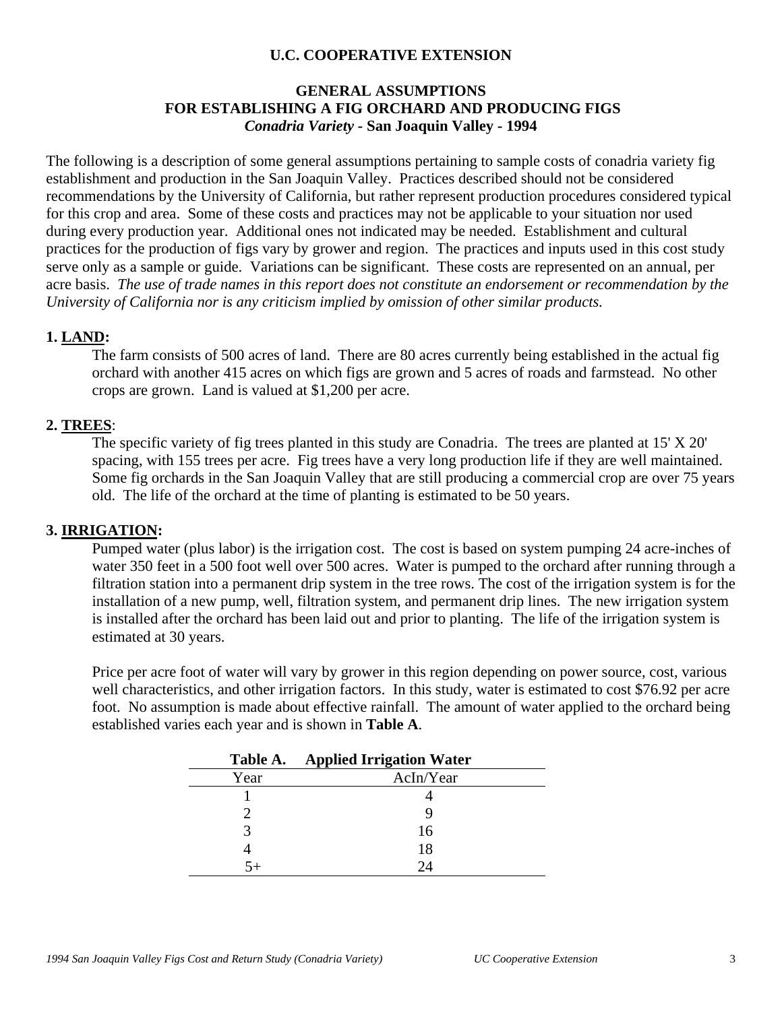#### **GENERAL ASSUMPTIONS FOR ESTABLISHING A FIG ORCHARD AND PRODUCING FIGS** *Conadria Variety -* **San Joaquin Valley - 1994**

The following is a description of some general assumptions pertaining to sample costs of conadria variety fig establishment and production in the San Joaquin Valley. Practices described should not be considered recommendations by the University of California, but rather represent production procedures considered typical for this crop and area. Some of these costs and practices may not be applicable to your situation nor used during every production year. Additional ones not indicated may be needed.Establishment and cultural practices for the production of figs vary by grower and region. The practices and inputs used in this cost study serve only as a sample or guide. Variations can be significant. These costs are represented on an annual, per acre basis. *The use of trade names in this report does not constitute an endorsement or recommendation by the University of California nor is any criticism implied by omission of other similar products.*

#### **1. LAND:**

The farm consists of 500 acres of land. There are 80 acres currently being established in the actual fig orchard with another 415 acres on which figs are grown and 5 acres of roads and farmstead. No other crops are grown. Land is valued at \$1,200 per acre.

#### **2. TREES**:

The specific variety of fig trees planted in this study are Conadria. The trees are planted at 15' X 20' spacing, with 155 trees per acre. Fig trees have a very long production life if they are well maintained. Some fig orchards in the San Joaquin Valley that are still producing a commercial crop are over 75 years old. The life of the orchard at the time of planting is estimated to be 50 years.

#### **3. IRRIGATION:**

Pumped water (plus labor) is the irrigation cost. The cost is based on system pumping 24 acre-inches of water 350 feet in a 500 foot well over 500 acres. Water is pumped to the orchard after running through a filtration station into a permanent drip system in the tree rows. The cost of the irrigation system is for the installation of a new pump, well, filtration system, and permanent drip lines. The new irrigation system is installed after the orchard has been laid out and prior to planting. The life of the irrigation system is estimated at 30 years.

Price per acre foot of water will vary by grower in this region depending on power source, cost, various well characteristics, and other irrigation factors. In this study, water is estimated to cost \$76.92 per acre foot. No assumption is made about effective rainfall. The amount of water applied to the orchard being established varies each year and is shown in **Table A**.

|      | Table A. Applied Irrigation Water |
|------|-----------------------------------|
| Year | AcIn/Year                         |
|      |                                   |
|      |                                   |
|      | 16                                |
|      | 18                                |
|      | 24                                |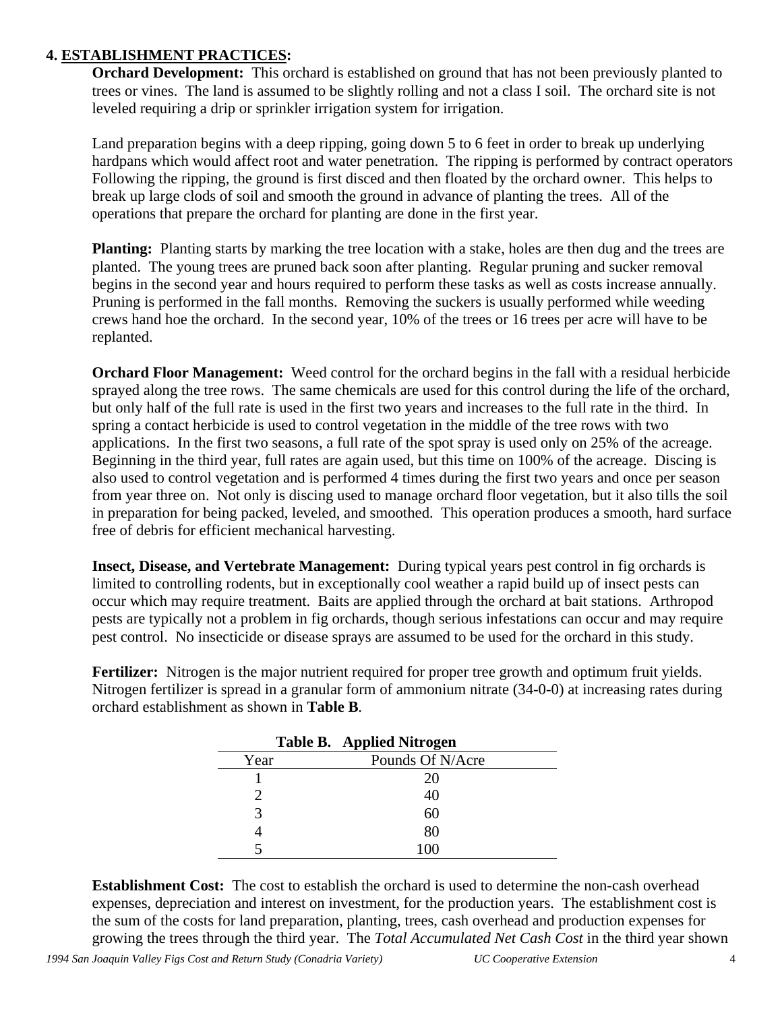### **4. ESTABLISHMENT PRACTICES:**

**Orchard Development:** This orchard is established on ground that has not been previously planted to trees or vines. The land is assumed to be slightly rolling and not a class I soil. The orchard site is not leveled requiring a drip or sprinkler irrigation system for irrigation.

Land preparation begins with a deep ripping, going down 5 to 6 feet in order to break up underlying hardpans which would affect root and water penetration. The ripping is performed by contract operators Following the ripping, the ground is first disced and then floated by the orchard owner. This helps to break up large clods of soil and smooth the ground in advance of planting the trees. All of the operations that prepare the orchard for planting are done in the first year.

**Planting:** Planting starts by marking the tree location with a stake, holes are then dug and the trees are planted. The young trees are pruned back soon after planting. Regular pruning and sucker removal begins in the second year and hours required to perform these tasks as well as costs increase annually. Pruning is performed in the fall months. Removing the suckers is usually performed while weeding crews hand hoe the orchard. In the second year, 10% of the trees or 16 trees per acre will have to be replanted.

**Orchard Floor Management:** Weed control for the orchard begins in the fall with a residual herbicide sprayed along the tree rows. The same chemicals are used for this control during the life of the orchard, but only half of the full rate is used in the first two years and increases to the full rate in the third. In spring a contact herbicide is used to control vegetation in the middle of the tree rows with two applications. In the first two seasons, a full rate of the spot spray is used only on 25% of the acreage. Beginning in the third year, full rates are again used, but this time on 100% of the acreage. Discing is also used to control vegetation and is performed 4 times during the first two years and once per season from year three on. Not only is discing used to manage orchard floor vegetation, but it also tills the soil in preparation for being packed, leveled, and smoothed. This operation produces a smooth, hard surface free of debris for efficient mechanical harvesting.

**Insect, Disease, and Vertebrate Management:** During typical years pest control in fig orchards is limited to controlling rodents, but in exceptionally cool weather a rapid build up of insect pests can occur which may require treatment. Baits are applied through the orchard at bait stations. Arthropod pests are typically not a problem in fig orchards, though serious infestations can occur and may require pest control. No insecticide or disease sprays are assumed to be used for the orchard in this study.

**Fertilizer:** Nitrogen is the major nutrient required for proper tree growth and optimum fruit yields. Nitrogen fertilizer is spread in a granular form of ammonium nitrate (34-0-0) at increasing rates during orchard establishment as shown in **Table B**.

| Table B. Applied Nitrogen |                  |  |  |  |  |
|---------------------------|------------------|--|--|--|--|
| Year                      | Pounds Of N/Acre |  |  |  |  |
|                           | 20               |  |  |  |  |
|                           | 40               |  |  |  |  |
| ≺                         | 60               |  |  |  |  |
| 4                         | 80               |  |  |  |  |
|                           | 100              |  |  |  |  |

**Establishment Cost:** The cost to establish the orchard is used to determine the non-cash overhead expenses, depreciation and interest on investment, for the production years. The establishment cost is the sum of the costs for land preparation, planting, trees, cash overhead and production expenses for growing the trees through the third year. The *Total Accumulated Net Cash Cost* in the third year shown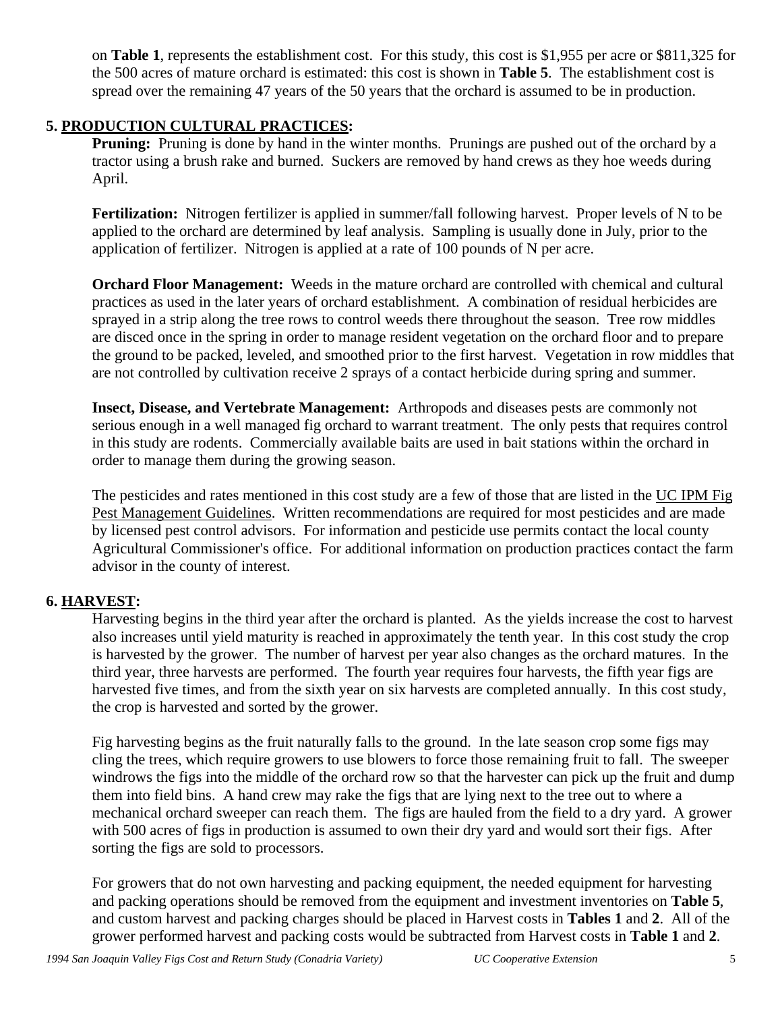on **Table 1**, represents the establishment cost. For this study, this cost is \$1,955 per acre or \$811,325 for the 500 acres of mature orchard is estimated: this cost is shown in **Table 5**. The establishment cost is spread over the remaining 47 years of the 50 years that the orchard is assumed to be in production.

### **5. PRODUCTION CULTURAL PRACTICES:**

**Pruning:** Pruning is done by hand in the winter months. Prunings are pushed out of the orchard by a tractor using a brush rake and burned. Suckers are removed by hand crews as they hoe weeds during April.

**Fertilization:** Nitrogen fertilizer is applied in summer/fall following harvest. Proper levels of N to be applied to the orchard are determined by leaf analysis. Sampling is usually done in July, prior to the application of fertilizer. Nitrogen is applied at a rate of 100 pounds of N per acre.

**Orchard Floor Management:** Weeds in the mature orchard are controlled with chemical and cultural practices as used in the later years of orchard establishment. A combination of residual herbicides are sprayed in a strip along the tree rows to control weeds there throughout the season. Tree row middles are disced once in the spring in order to manage resident vegetation on the orchard floor and to prepare the ground to be packed, leveled, and smoothed prior to the first harvest. Vegetation in row middles that are not controlled by cultivation receive 2 sprays of a contact herbicide during spring and summer.

**Insect, Disease, and Vertebrate Management:** Arthropods and diseases pests are commonly not serious enough in a well managed fig orchard to warrant treatment. The only pests that requires control in this study are rodents. Commercially available baits are used in bait stations within the orchard in order to manage them during the growing season.

The pesticides and rates mentioned in this cost study are a few of those that are listed in the UC IPM Fig Pest Management Guidelines. Written recommendations are required for most pesticides and are made by licensed pest control advisors. For information and pesticide use permits contact the local county Agricultural Commissioner's office. For additional information on production practices contact the farm advisor in the county of interest.

### **6. HARVEST:**

Harvesting begins in the third year after the orchard is planted. As the yields increase the cost to harvest also increases until yield maturity is reached in approximately the tenth year. In this cost study the crop is harvested by the grower. The number of harvest per year also changes as the orchard matures. In the third year, three harvests are performed. The fourth year requires four harvests, the fifth year figs are harvested five times, and from the sixth year on six harvests are completed annually. In this cost study, the crop is harvested and sorted by the grower.

Fig harvesting begins as the fruit naturally falls to the ground. In the late season crop some figs may cling the trees, which require growers to use blowers to force those remaining fruit to fall. The sweeper windrows the figs into the middle of the orchard row so that the harvester can pick up the fruit and dump them into field bins. A hand crew may rake the figs that are lying next to the tree out to where a mechanical orchard sweeper can reach them. The figs are hauled from the field to a dry yard. A grower with 500 acres of figs in production is assumed to own their dry yard and would sort their figs. After sorting the figs are sold to processors.

For growers that do not own harvesting and packing equipment, the needed equipment for harvesting and packing operations should be removed from the equipment and investment inventories on **Table 5**, and custom harvest and packing charges should be placed in Harvest costs in **Tables 1** and **2**. All of the grower performed harvest and packing costs would be subtracted from Harvest costs in **Table 1** and **2**.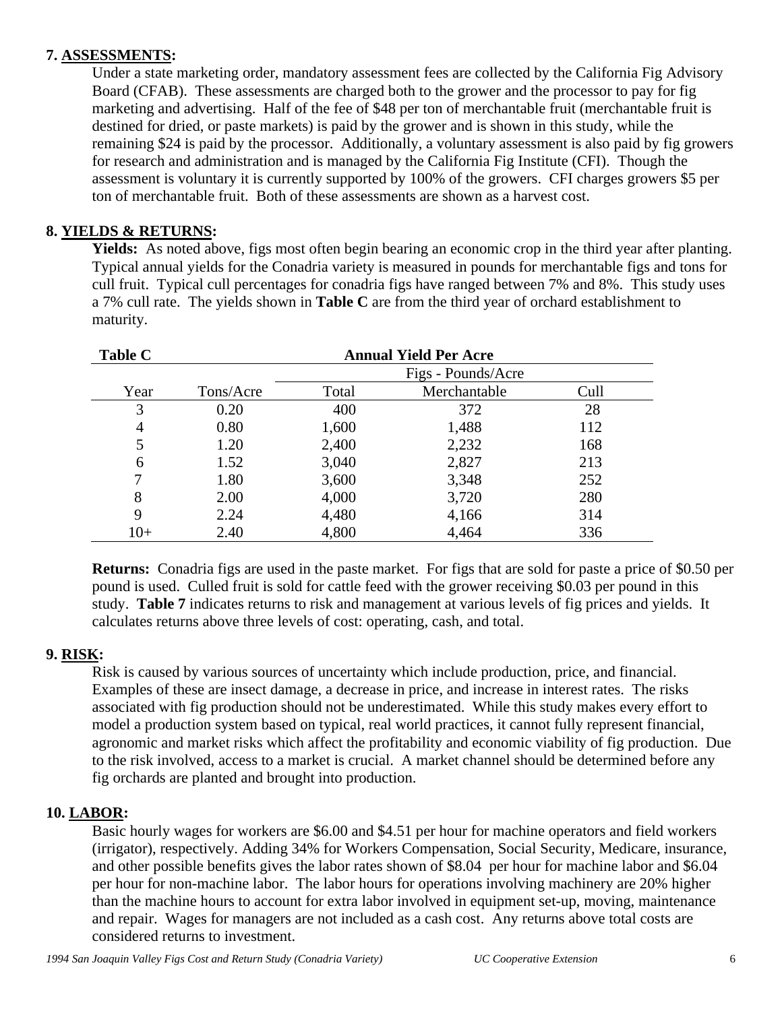### **7. ASSESSMENTS:**

Under a state marketing order, mandatory assessment fees are collected by the California Fig Advisory Board (CFAB). These assessments are charged both to the grower and the processor to pay for fig marketing and advertising. Half of the fee of \$48 per ton of merchantable fruit (merchantable fruit is destined for dried, or paste markets) is paid by the grower and is shown in this study, while the remaining \$24 is paid by the processor. Additionally, a voluntary assessment is also paid by fig growers for research and administration and is managed by the California Fig Institute (CFI). Though the assessment is voluntary it is currently supported by 100% of the growers. CFI charges growers \$5 per ton of merchantable fruit. Both of these assessments are shown as a harvest cost.

## **8. YIELDS & RETURNS:**

**Yields:** As noted above, figs most often begin bearing an economic crop in the third year after planting. Typical annual yields for the Conadria variety is measured in pounds for merchantable figs and tons for cull fruit. Typical cull percentages for conadria figs have ranged between 7% and 8%. This study uses a 7% cull rate. The yields shown in **Table C** are from the third year of orchard establishment to maturity.

| <b>Table C</b> | <b>Annual Yield Per Acre</b> |       |              |      |  |  |  |  |  |  |
|----------------|------------------------------|-------|--------------|------|--|--|--|--|--|--|
|                | Figs - Pounds/Acre           |       |              |      |  |  |  |  |  |  |
| Year           | Tons/Acre                    | Total | Merchantable | Cull |  |  |  |  |  |  |
| 3              | 0.20                         | 400   | 372          | 28   |  |  |  |  |  |  |
| 4              | 0.80                         | 1,600 | 1,488        | 112  |  |  |  |  |  |  |
| 5              | 1.20                         | 2,400 | 2,232        | 168  |  |  |  |  |  |  |
| 6              | 1.52                         | 3,040 | 2,827        | 213  |  |  |  |  |  |  |
|                | 1.80                         | 3,600 | 3,348        | 252  |  |  |  |  |  |  |
| 8              | 2.00                         | 4,000 | 3,720        | 280  |  |  |  |  |  |  |
| 9              | 2.24                         | 4,480 | 4,166        | 314  |  |  |  |  |  |  |
| $10+$          | 2.40                         | 4,800 | 4,464        | 336  |  |  |  |  |  |  |

**Returns:** Conadria figs are used in the paste market. For figs that are sold for paste a price of \$0.50 per pound is used. Culled fruit is sold for cattle feed with the grower receiving \$0.03 per pound in this study. **Table 7** indicates returns to risk and management at various levels of fig prices and yields. It calculates returns above three levels of cost: operating, cash, and total.

### **9. RISK:**

Risk is caused by various sources of uncertainty which include production, price, and financial. Examples of these are insect damage, a decrease in price, and increase in interest rates. The risks associated with fig production should not be underestimated. While this study makes every effort to model a production system based on typical, real world practices, it cannot fully represent financial, agronomic and market risks which affect the profitability and economic viability of fig production. Due to the risk involved, access to a market is crucial. A market channel should be determined before any fig orchards are planted and brought into production.

### **10. LABOR:**

Basic hourly wages for workers are \$6.00 and \$4.51 per hour for machine operators and field workers (irrigator), respectively. Adding 34% for Workers Compensation, Social Security, Medicare, insurance, and other possible benefits gives the labor rates shown of \$8.04 per hour for machine labor and \$6.04 per hour for non-machine labor. The labor hours for operations involving machinery are 20% higher than the machine hours to account for extra labor involved in equipment set-up, moving, maintenance and repair. Wages for managers are not included as a cash cost. Any returns above total costs are considered returns to investment.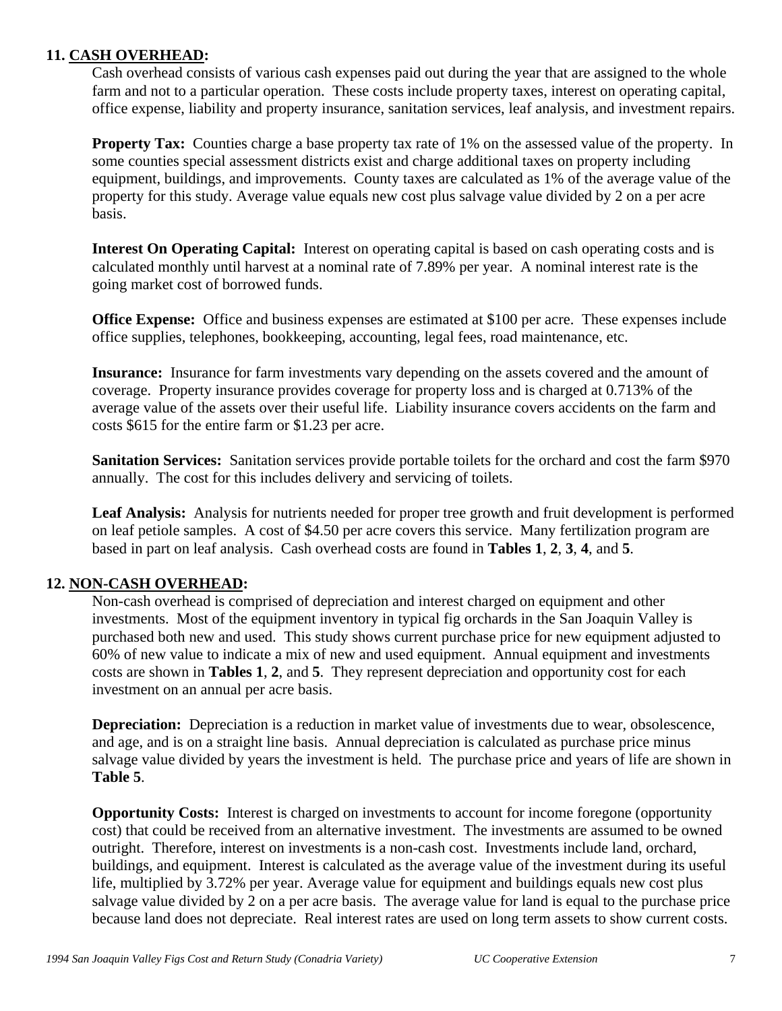### **11. CASH OVERHEAD:**

Cash overhead consists of various cash expenses paid out during the year that are assigned to the whole farm and not to a particular operation. These costs include property taxes, interest on operating capital, office expense, liability and property insurance, sanitation services, leaf analysis, and investment repairs.

**Property Tax:** Counties charge a base property tax rate of 1% on the assessed value of the property. In some counties special assessment districts exist and charge additional taxes on property including equipment, buildings, and improvements. County taxes are calculated as 1% of the average value of the property for this study. Average value equals new cost plus salvage value divided by 2 on a per acre basis.

**Interest On Operating Capital:** Interest on operating capital is based on cash operating costs and is calculated monthly until harvest at a nominal rate of 7.89% per year. A nominal interest rate is the going market cost of borrowed funds.

**Office Expense:** Office and business expenses are estimated at \$100 per acre. These expenses include office supplies, telephones, bookkeeping, accounting, legal fees, road maintenance, etc.

**Insurance:** Insurance for farm investments vary depending on the assets covered and the amount of coverage. Property insurance provides coverage for property loss and is charged at 0.713% of the average value of the assets over their useful life. Liability insurance covers accidents on the farm and costs \$615 for the entire farm or \$1.23 per acre.

**Sanitation Services:** Sanitation services provide portable toilets for the orchard and cost the farm \$970 annually. The cost for this includes delivery and servicing of toilets.

**Leaf Analysis:** Analysis for nutrients needed for proper tree growth and fruit development is performed on leaf petiole samples. A cost of \$4.50 per acre covers this service. Many fertilization program are based in part on leaf analysis. Cash overhead costs are found in **Tables 1**, **2**, **3**, **4**, and **5**.

### **12. NON-CASH OVERHEAD:**

Non-cash overhead is comprised of depreciation and interest charged on equipment and other investments. Most of the equipment inventory in typical fig orchards in the San Joaquin Valley is purchased both new and used. This study shows current purchase price for new equipment adjusted to 60% of new value to indicate a mix of new and used equipment. Annual equipment and investments costs are shown in **Tables 1**, **2**, and **5**. They represent depreciation and opportunity cost for each investment on an annual per acre basis.

**Depreciation:** Depreciation is a reduction in market value of investments due to wear, obsolescence, and age, and is on a straight line basis. Annual depreciation is calculated as purchase price minus salvage value divided by years the investment is held. The purchase price and years of life are shown in **Table 5**.

**Opportunity Costs:** Interest is charged on investments to account for income foregone (opportunity cost) that could be received from an alternative investment. The investments are assumed to be owned outright. Therefore, interest on investments is a non-cash cost. Investments include land, orchard, buildings, and equipment. Interest is calculated as the average value of the investment during its useful life, multiplied by 3.72% per year. Average value for equipment and buildings equals new cost plus salvage value divided by 2 on a per acre basis. The average value for land is equal to the purchase price because land does not depreciate. Real interest rates are used on long term assets to show current costs.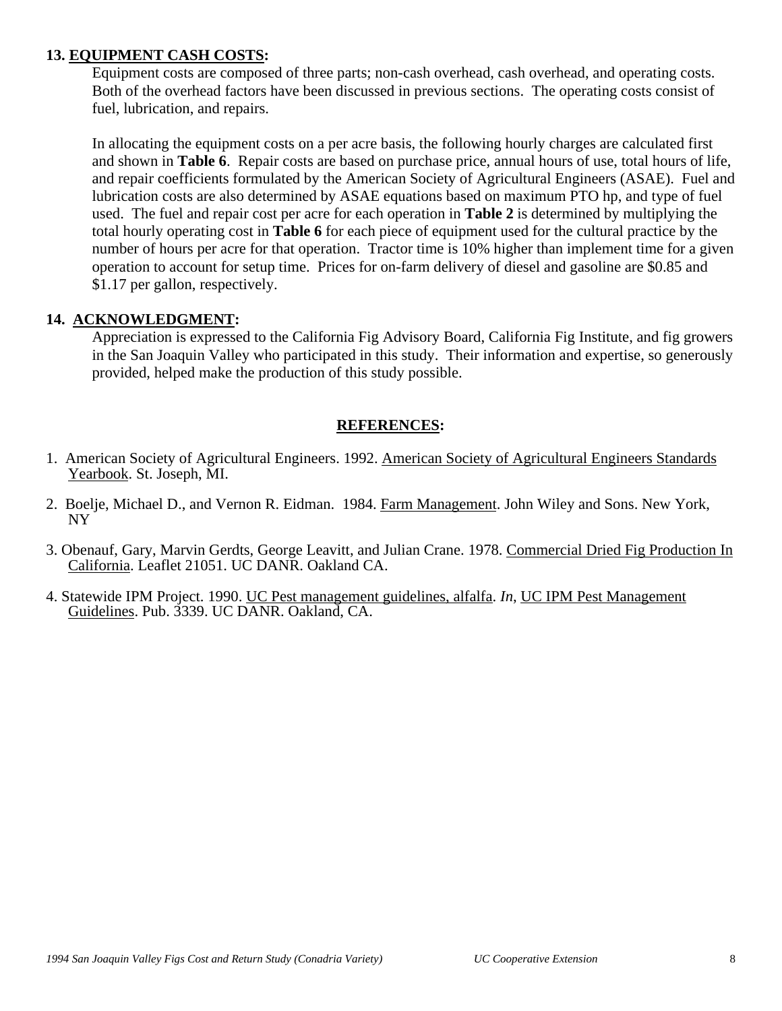### **13. EQUIPMENT CASH COSTS:**

Equipment costs are composed of three parts; non-cash overhead, cash overhead, and operating costs. Both of the overhead factors have been discussed in previous sections. The operating costs consist of fuel, lubrication, and repairs.

In allocating the equipment costs on a per acre basis, the following hourly charges are calculated first and shown in **Table 6**. Repair costs are based on purchase price, annual hours of use, total hours of life, and repair coefficients formulated by the American Society of Agricultural Engineers (ASAE). Fuel and lubrication costs are also determined by ASAE equations based on maximum PTO hp, and type of fuel used. The fuel and repair cost per acre for each operation in **Table 2** is determined by multiplying the total hourly operating cost in **Table 6** for each piece of equipment used for the cultural practice by the number of hours per acre for that operation. Tractor time is 10% higher than implement time for a given operation to account for setup time. Prices for on-farm delivery of diesel and gasoline are \$0.85 and \$1.17 per gallon, respectively.

#### **14. ACKNOWLEDGMENT:**

Appreciation is expressed to the California Fig Advisory Board, California Fig Institute, and fig growers in the San Joaquin Valley who participated in this study. Their information and expertise, so generously provided, helped make the production of this study possible.

### **REFERENCES:**

- 1. American Society of Agricultural Engineers. 1992. American Society of Agricultural Engineers Standards Yearbook. St. Joseph, MI.
- 2. Boelje, Michael D., and Vernon R. Eidman. 1984. Farm Management. John Wiley and Sons. New York, NY
- 3. Obenauf, Gary, Marvin Gerdts, George Leavitt, and Julian Crane. 1978. Commercial Dried Fig Production In California. Leaflet 21051. UC DANR. Oakland CA.
- 4. Statewide IPM Project. 1990. UC Pest management guidelines, alfalfa. *In*, UC IPM Pest Management Guidelines. Pub. 3339. UC DANR. Oakland, CA.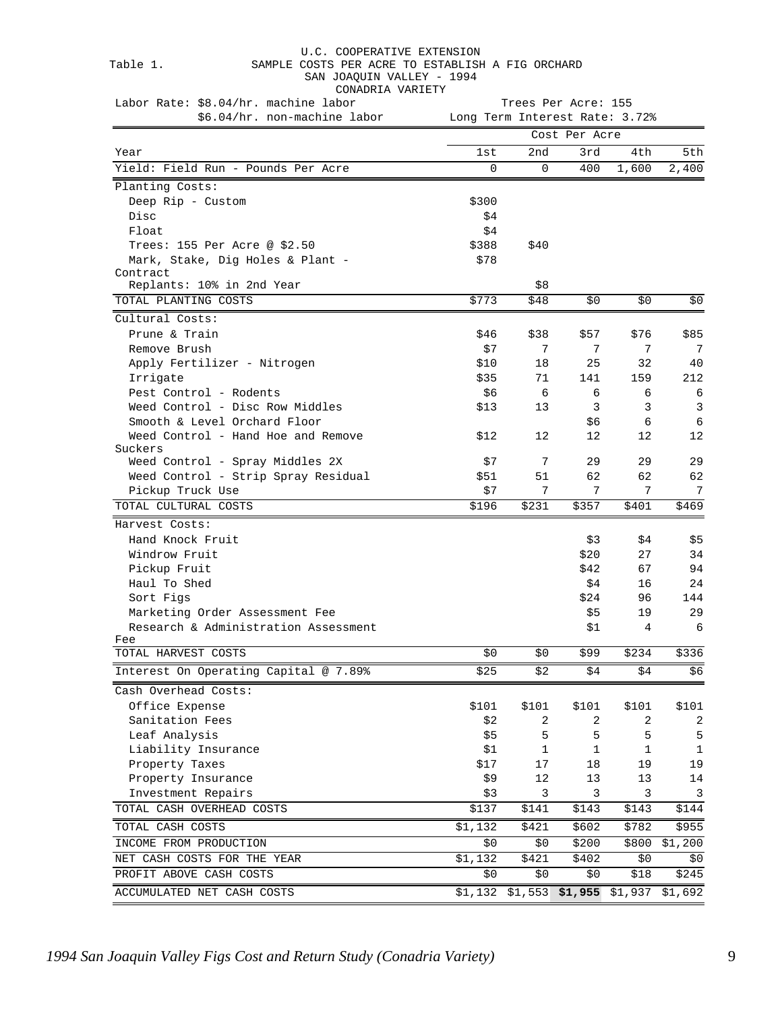#### Table 1. SAMPLE COSTS PER ACRE TO ESTABLISH A FIG ORCHARD

SAN JOAQUIN VALLEY - 1994

CONADRIA VARIETY

| Labor Rate: \$8.04/hr. machine labor                           | Trees Per Acre: 155 |              |               |         |         |  |  |  |  |
|----------------------------------------------------------------|---------------------|--------------|---------------|---------|---------|--|--|--|--|
| \$6.04/hr. non-machine labor<br>Long Term Interest Rate: 3.72% |                     |              |               |         |         |  |  |  |  |
|                                                                |                     |              | Cost Per Acre |         |         |  |  |  |  |
| Year                                                           | 1st                 | 2nd          | 3rd           | 4th     | 5th     |  |  |  |  |
| Yield: Field Run - Pounds Per Acre                             | 0                   | $\Omega$     | 400           | 1,600   | 2,400   |  |  |  |  |
| Planting Costs:                                                |                     |              |               |         |         |  |  |  |  |
| Deep Rip - Custom                                              | \$300               |              |               |         |         |  |  |  |  |
| Disc                                                           | \$4                 |              |               |         |         |  |  |  |  |
| Float                                                          | \$4                 |              |               |         |         |  |  |  |  |
| Trees: 155 Per Acre @ \$2.50                                   | \$388               | \$40         |               |         |         |  |  |  |  |
| Mark, Stake, Dig Holes & Plant -                               | \$78                |              |               |         |         |  |  |  |  |
| Contract                                                       |                     |              |               |         |         |  |  |  |  |
| Replants: 10% in 2nd Year                                      |                     | \$8          |               |         |         |  |  |  |  |
| TOTAL PLANTING COSTS                                           | \$773               | \$48         | \$0           | \$0     | \$0     |  |  |  |  |
| Cultural Costs:                                                |                     |              |               |         |         |  |  |  |  |
| Prune & Train                                                  | \$46                | \$38         | \$57          | \$76    | \$85    |  |  |  |  |
| Remove Brush                                                   | \$7                 | 7            | 7             | 7       | 7       |  |  |  |  |
| Apply Fertilizer - Nitrogen                                    | \$10                | 18           | 25            | 32      | 40      |  |  |  |  |
| Irrigate                                                       | \$35                | 71           | 141           | 159     | 212     |  |  |  |  |
| Pest Control - Rodents                                         | \$6                 | 6            | 6             | 6       | 6       |  |  |  |  |
| Weed Control - Disc Row Middles                                | \$13                | 13           | 3             | 3       | 3       |  |  |  |  |
| Smooth & Level Orchard Floor                                   |                     |              | \$6           | 6       | 6       |  |  |  |  |
| Weed Control - Hand Hoe and Remove                             | \$12                | 12           | 12            | 12      | 12      |  |  |  |  |
| Suckers                                                        |                     |              |               |         |         |  |  |  |  |
| Weed Control - Spray Middles 2X                                | \$7                 | 7            | 29            | 29      | 29      |  |  |  |  |
| Weed Control - Strip Spray Residual                            | \$51                | 51           | 62            | 62      | 62      |  |  |  |  |
| Pickup Truck Use                                               | \$7                 | 7            | 7             | 7       | 7       |  |  |  |  |
| TOTAL CULTURAL COSTS                                           | \$196               | \$231        | \$357         | \$401   | \$469   |  |  |  |  |
| Harvest Costs:                                                 |                     |              |               |         |         |  |  |  |  |
| Hand Knock Fruit                                               |                     |              | \$3           | \$4     | \$5     |  |  |  |  |
| Windrow Fruit                                                  |                     |              | \$20          | 27      | 34      |  |  |  |  |
| Pickup Fruit                                                   |                     |              | \$42          | 67      | 94      |  |  |  |  |
| Haul To Shed                                                   |                     |              | \$4           | 16      | 24      |  |  |  |  |
| Sort Figs                                                      |                     |              | \$24          | 96      | 144     |  |  |  |  |
| Marketing Order Assessment Fee                                 |                     |              | \$5           | 19      | 29      |  |  |  |  |
| Research & Administration Assessment                           |                     |              | \$1           | 4       | 6       |  |  |  |  |
| Fee                                                            |                     |              |               |         |         |  |  |  |  |
| TOTAL HARVEST COSTS                                            | \$0                 | \$0          | \$99          | \$234   | \$336   |  |  |  |  |
| Interest On Operating Capital @ 7.89%                          | \$25                | $$2$$        | $\ $4$        | $\ $4$  | \$6     |  |  |  |  |
| Cash Overhead Costs:                                           |                     |              |               |         |         |  |  |  |  |
| Office Expense                                                 | \$101               | \$101        | \$101         | \$101   | \$101   |  |  |  |  |
| Sanitation Fees                                                | \$2                 | 2            | 2             | 2       | 2       |  |  |  |  |
| Leaf Analysis                                                  | \$5                 | 5            | 5             | 5       | 5       |  |  |  |  |
| Liability Insurance                                            | \$1                 | $\mathbf{1}$ | 1             | 1       | 1       |  |  |  |  |
| Property Taxes                                                 | \$17                | 17           | 18            | 19      | 19      |  |  |  |  |
| Property Insurance                                             | \$9                 | 12           | 13            | 13      | 14      |  |  |  |  |
| Investment Repairs                                             | \$3                 | 3            | 3             | 3       | 3       |  |  |  |  |
| TOTAL CASH OVERHEAD COSTS                                      | \$137               | \$141        | \$143         | \$143   | \$144   |  |  |  |  |
| TOTAL CASH COSTS                                               | \$1,132             | \$421        | \$602         | \$782   | \$955   |  |  |  |  |
| INCOME FROM PRODUCTION                                         | \$0                 | \$0          | \$200         | \$800   | \$1,200 |  |  |  |  |
| NET CASH COSTS FOR THE YEAR                                    | \$1,132             | \$421        | \$402         | \$0     | \$0     |  |  |  |  |
| PROFIT ABOVE CASH COSTS                                        | \$0\$               | \$0          | \$0           | \$18    | \$245   |  |  |  |  |
|                                                                |                     |              |               |         |         |  |  |  |  |
| ACCUMULATED NET CASH COSTS                                     | \$1,132             | \$1,553      | \$1,955       | \$1,937 | \$1,692 |  |  |  |  |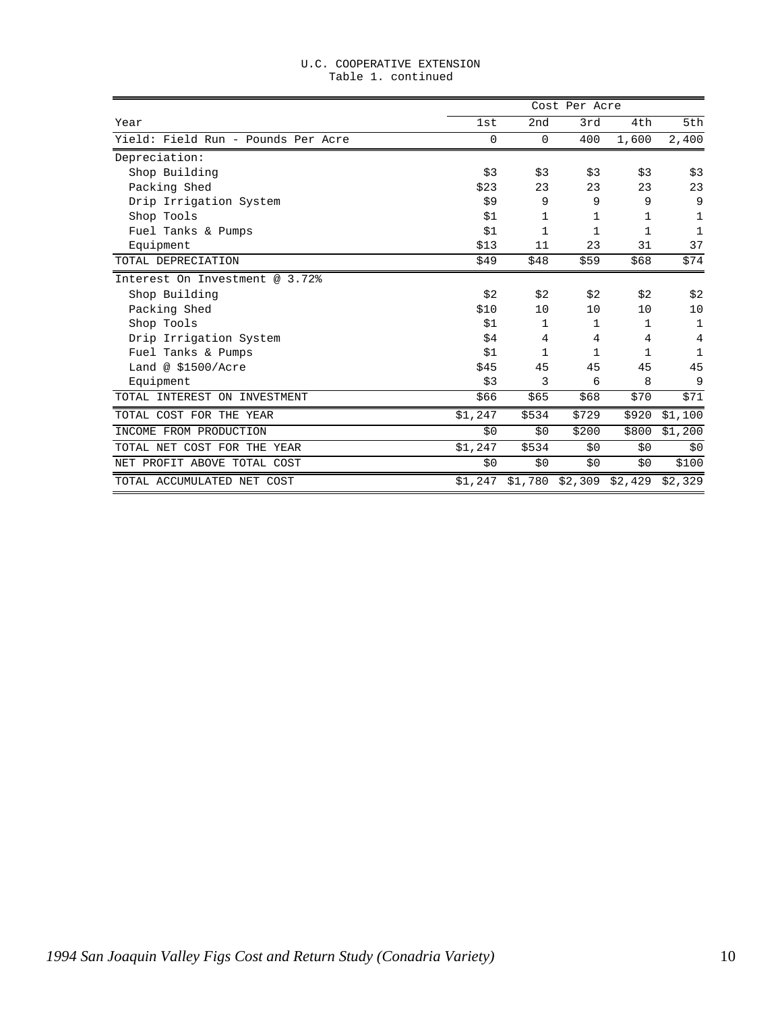|                                    |         |          | Cost Per Acre |                   |              |
|------------------------------------|---------|----------|---------------|-------------------|--------------|
| Year                               | 1st     | 2nd      | 3rd           | 4th               | 5th          |
| Yield: Field Run - Pounds Per Acre | 0       | $\Omega$ | 400           | 1,600             | 2,400        |
| Depreciation:                      |         |          |               |                   |              |
| Shop Building                      | \$3     | \$3      | \$3           | \$3               | \$3          |
| Packing Shed                       | \$23    | 23       | 23            | 23                | 23           |
| Drip Irrigation System             | \$9     | 9        | 9             | 9                 | 9            |
| Shop Tools                         | \$1     | 1        | 1             | $\mathbf 1$       | 1            |
| Fuel Tanks & Pumps                 | \$1     | 1        | 1             | 1                 | 1            |
| Equipment                          | \$13    | 11       | 23            | 31                | 37           |
| TOTAL DEPRECIATION                 | \$49    | \$48     | \$59          | \$68              | \$74         |
| Interest On Investment @ 3.72%     |         |          |               |                   |              |
| Shop Building                      | \$2     | \$2      | \$2           | \$2               | \$2          |
| Packing Shed                       | \$10    | 10       | 10            | 10                | 10           |
| Shop Tools                         | \$1     | 1        | 1             | $\mathbf{1}$      | $\mathbf 1$  |
| Drip Irrigation System             | \$4     | 4        | 4             | 4                 | 4            |
| Fuel Tanks & Pumps                 | \$1     | 1        | $\mathbf{1}$  | $\mathbf{1}$      | $\mathbf{1}$ |
| Land @ $$1500/Arre$                | \$45    | 45       | 45            | 45                | 45           |
| Equipment                          | \$3     | 3        | 6             | 8                 | 9            |
| TOTAL INTEREST ON INVESTMENT       | \$66    | \$65     | \$68          | \$70              | \$71         |
| TOTAL COST FOR THE YEAR            | \$1,247 | \$534    | \$729         | \$920             | \$1,100      |
| INCOME FROM PRODUCTION             | \$0     | \$0      | \$200         | \$800             | \$1,200      |
| TOTAL NET COST FOR THE YEAR        | \$1,247 | \$534    | \$0           | \$0               | \$0          |
| NET PROFIT ABOVE TOTAL COST        | \$0     | \$0      | \$0           | \$0               | \$100        |
| TOTAL ACCUMULATED NET COST         | \$1,247 | \$1,780  |               | $$2,309$ $$2,429$ | \$2,329      |

#### U.C. COOPERATIVE EXTENSION Table 1. continued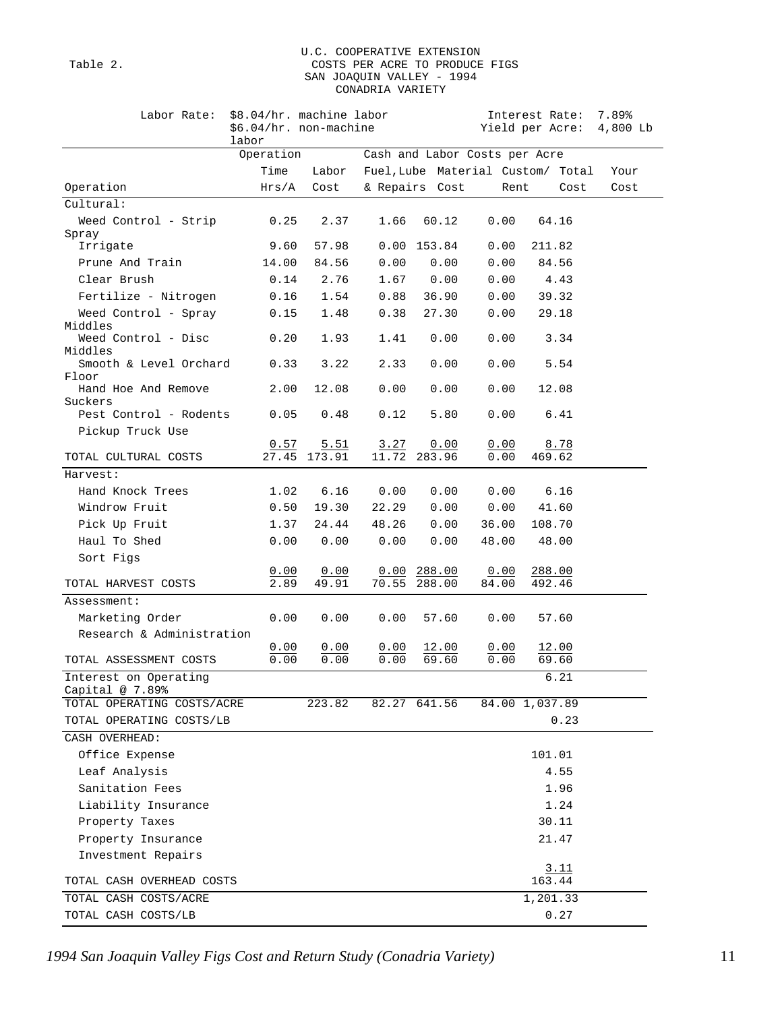#### U.C. COOPERATIVE EXTENSION Table 2. COSTS PER ACRE TO PRODUCE FIGS SAN JOAQUIN VALLEY - 1994 CONADRIA VARIETY

| Labor Rate:                                 | \$8.04/hr. machine labor<br>\$6.04/hr. non-machine<br>labor |                       |               |                               |              | Interest Rate:<br>Yield per Acre: 4,800 Lb | 7.89% |
|---------------------------------------------|-------------------------------------------------------------|-----------------------|---------------|-------------------------------|--------------|--------------------------------------------|-------|
|                                             | Operation                                                   |                       |               | Cash and Labor Costs per Acre |              |                                            |       |
|                                             | Time                                                        | Labor                 |               |                               |              | Fuel, Lube Material Custom/ Total          | Your  |
| Operation                                   | Hrs/A                                                       | Cost                  |               | & Repairs Cost                | Rent         | Cost                                       | Cost  |
| Cultural:                                   |                                                             |                       |               |                               |              |                                            |       |
| Weed Control - Strip                        | 0.25                                                        | 2.37                  | 1.66          | 60.12                         | 0.00         | 64.16                                      |       |
| Spray                                       |                                                             |                       |               |                               |              |                                            |       |
| Irrigate                                    | 9.60                                                        | 57.98                 |               | $0.00$ 153.84                 | 0.00         | 211.82                                     |       |
| Prune And Train                             | 14.00                                                       | 84.56                 | 0.00          | 0.00                          | 0.00         | 84.56                                      |       |
| Clear Brush                                 | 0.14                                                        | 2.76                  | 1.67          | 0.00                          | 0.00         | 4.43                                       |       |
| Fertilize - Nitrogen                        | 0.16                                                        | 1.54                  | 0.88          | 36.90                         | 0.00         | 39.32                                      |       |
| Weed Control - Spray<br>Middles             | 0.15                                                        | 1.48                  | 0.38          | 27.30                         | 0.00         | 29.18                                      |       |
| Weed Control - Disc<br>Middles              | 0.20                                                        | 1.93                  | 1.41          | 0.00                          | 0.00         | 3.34                                       |       |
| Smooth & Level Orchard<br>Floor             | 0.33                                                        | 3.22                  | 2.33          | 0.00                          | 0.00         | 5.54                                       |       |
| Hand Hoe And Remove<br>Suckers              | 2.00                                                        | 12.08                 | 0.00          | 0.00                          | 0.00         | 12.08                                      |       |
| Pest Control - Rodents<br>Pickup Truck Use  | 0.05                                                        | 0.48                  | 0.12          | 5.80                          | 0.00         | 6.41                                       |       |
| TOTAL CULTURAL COSTS                        | 0.57<br>27.45                                               | $\frac{5.51}{173.91}$ | 3.27<br>11.72 | 0.00<br>283.96                | 0.00<br>0.00 | 8.78<br>469.62                             |       |
| Harvest:                                    |                                                             |                       |               |                               |              |                                            |       |
| Hand Knock Trees                            | 1.02                                                        | 6.16                  | 0.00          | 0.00                          | 0.00         | 6.16                                       |       |
| Windrow Fruit                               | 0.50                                                        | 19.30                 | 22.29         | 0.00                          | 0.00         | 41.60                                      |       |
| Pick Up Fruit                               | 1.37                                                        | 24.44                 | 48.26         | 0.00                          | 36.00        | 108.70                                     |       |
| Haul To Shed                                | 0.00                                                        | 0.00                  | 0.00          | 0.00                          | 48.00        | 48.00                                      |       |
| Sort Figs                                   |                                                             |                       |               |                               |              |                                            |       |
|                                             | 0.00                                                        | 0.00                  |               | $0.00$ 288.00                 | 0.00         | 288.00                                     |       |
| TOTAL HARVEST COSTS                         | 2.89                                                        | 49.91                 | 70.55         | 288.00                        | 84.00        | 492.46                                     |       |
| Assessment:                                 |                                                             |                       |               |                               |              |                                            |       |
| Marketing Order                             | 0.00                                                        | 0.00                  | 0.00          | 57.60                         | 0.00         | 57.60                                      |       |
| Research & Administration                   |                                                             |                       |               |                               |              |                                            |       |
| TOTAL ASSESSMENT COSTS                      | 0.00<br>0.00                                                | 0.00<br>0.00          | 0.00<br>0.00  | 12.00<br>69.60                | 0.00<br>0.00 | <u>12.00</u><br>69.60                      |       |
| Interest on Operating<br>Capital $@ 7.89$ % |                                                             |                       |               |                               |              | 6.21                                       |       |
| TOTAL OPERATING COSTS/ACRE                  |                                                             | 223.82                |               | 82.27 641.56                  |              | 84.00 1,037.89                             |       |
| TOTAL OPERATING COSTS/LB                    |                                                             |                       |               |                               |              | 0.23                                       |       |
| CASH OVERHEAD:                              |                                                             |                       |               |                               |              |                                            |       |
| Office Expense                              |                                                             |                       |               |                               |              | 101.01                                     |       |
| Leaf Analysis                               |                                                             |                       |               |                               |              | 4.55                                       |       |
| Sanitation Fees                             |                                                             |                       |               |                               |              | 1.96                                       |       |
| Liability Insurance                         |                                                             |                       |               |                               |              | 1.24                                       |       |
| Property Taxes                              |                                                             |                       |               |                               |              | 30.11                                      |       |
| Property Insurance                          |                                                             |                       |               |                               |              | 21.47                                      |       |
| Investment Repairs                          |                                                             |                       |               |                               |              | 3.11                                       |       |
| TOTAL CASH OVERHEAD COSTS                   |                                                             |                       |               |                               |              | 163.44                                     |       |
| TOTAL CASH COSTS/ACRE                       |                                                             |                       |               |                               |              | 1,201.33                                   |       |
| TOTAL CASH COSTS/LB                         |                                                             |                       |               |                               |              | 0.27                                       |       |

*1994 San Joaquin Valley Figs Cost and Return Study (Conadria Variety)* 11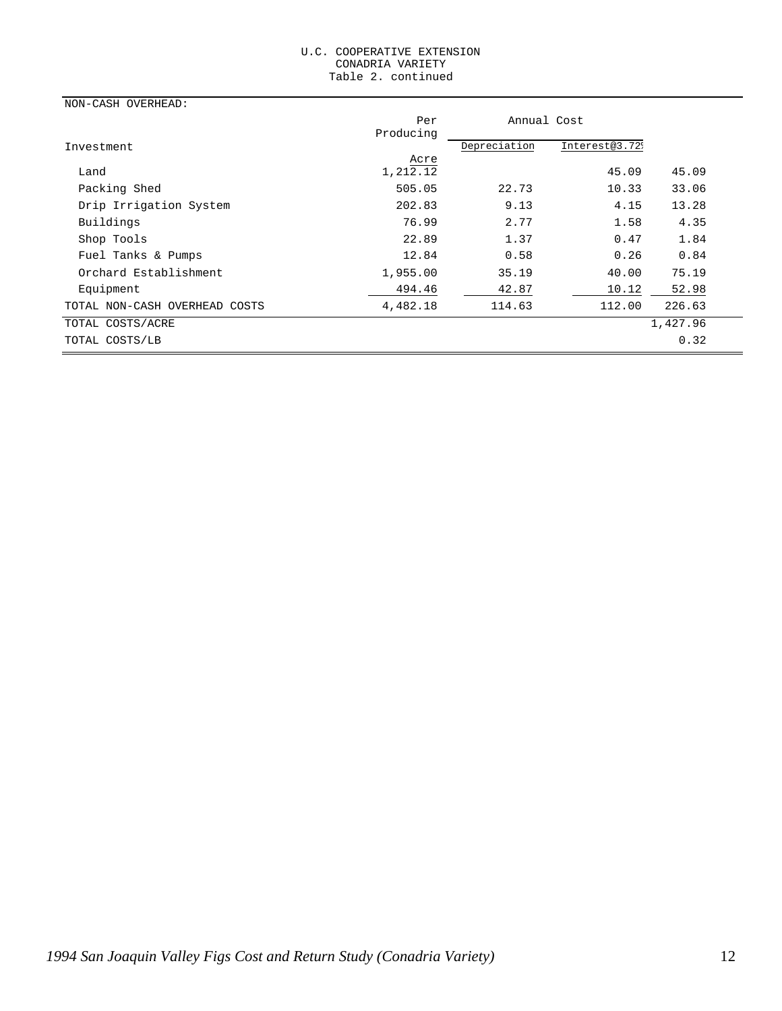#### U.C. COOPERATIVE EXTENSION CONADRIA VARIETY Table 2. continued

| NON-CASH OVERHEAD:            |                  |              |                            |          |
|-------------------------------|------------------|--------------|----------------------------|----------|
|                               | Per              | Annual Cost  |                            |          |
|                               | Producing        |              |                            |          |
| Investment                    |                  | Depreciation | Interest@3.72 <sup>9</sup> |          |
| Land                          | Acre<br>1,212.12 |              | 45.09                      | 45.09    |
| Packing Shed                  | 505.05           | 22.73        | 10.33                      | 33.06    |
| Drip Irrigation System        | 202.83           | 9.13         | 4.15                       | 13.28    |
| Buildings                     | 76.99            | 2.77         | 1.58                       | 4.35     |
| Shop Tools                    | 22.89            | 1.37         | 0.47                       | 1.84     |
| Fuel Tanks & Pumps            | 12.84            | 0.58         | 0.26                       | 0.84     |
| Orchard Establishment         | 1,955.00         | 35.19        | 40.00                      | 75.19    |
| Equipment                     | 494.46           | 42.87        | 10.12                      | 52.98    |
| TOTAL NON-CASH OVERHEAD COSTS | 4,482.18         | 114.63       | 112.00                     | 226.63   |
| TOTAL COSTS/ACRE              |                  |              |                            | 1,427.96 |
| TOTAL COSTS/LB                |                  |              |                            | 0.32     |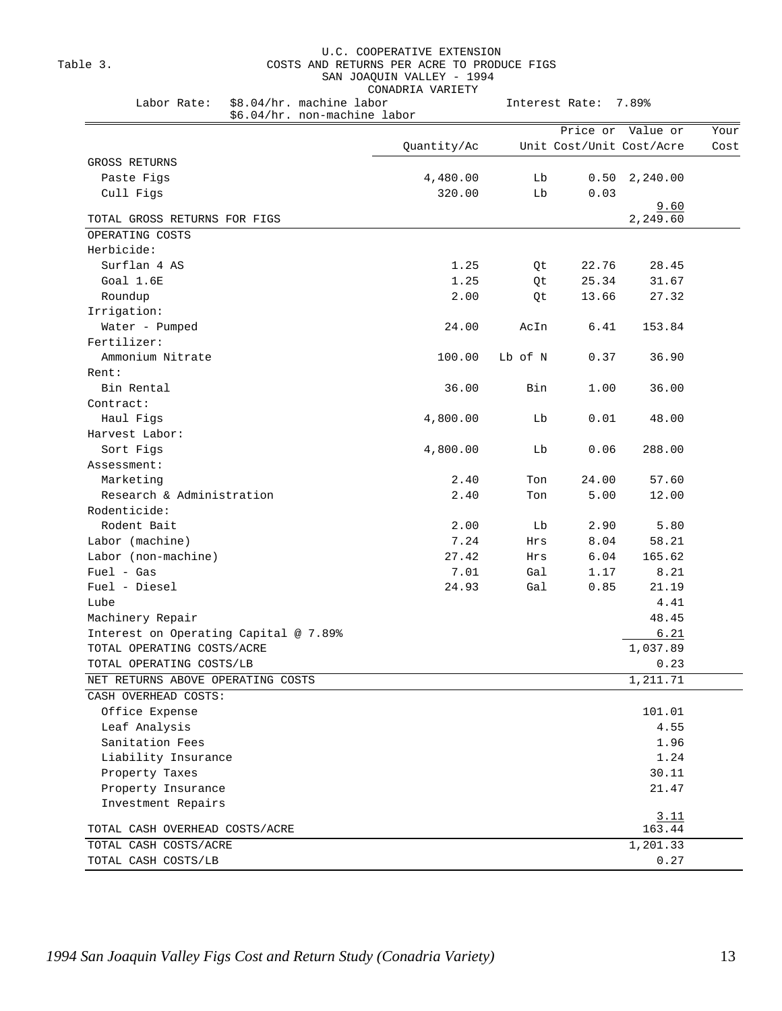#### U.C. COOPERATIVE EXTENSION Table 3. COSTS AND RETURNS PER ACRE TO PRODUCE FIGS SAN JOAQUIN VALLEY - 1994 CONADRIA VARIETY

| \$6.04/hr. non-machine labor          |             |         | Price or                 | Value or       |  |
|---------------------------------------|-------------|---------|--------------------------|----------------|--|
|                                       | Quantity/Ac |         | Unit Cost/Unit Cost/Acre |                |  |
| GROSS RETURNS                         |             |         |                          |                |  |
| Paste Figs                            | 4,480.00    | Lb      | 0.50                     | 2,240.00       |  |
| Cull Figs                             | 320.00      | Lb      | 0.03                     |                |  |
|                                       |             |         |                          | 9.60           |  |
| TOTAL GROSS RETURNS FOR FIGS          |             |         |                          | 2,249.60       |  |
| OPERATING COSTS                       |             |         |                          |                |  |
| Herbicide:                            |             |         |                          |                |  |
| Surflan 4 AS                          | 1.25        | Qt      | 22.76                    | 28.45          |  |
| Goal 1.6E                             | 1.25        | Qt      | 25.34                    | 31.67          |  |
| Roundup                               | 2.00        | Qt      | 13.66                    | 27.32          |  |
| Irrigation:                           |             |         |                          |                |  |
| Water - Pumped                        | 24.00       | AcIn    | 6.41                     | 153.84         |  |
| Fertilizer:                           |             |         |                          |                |  |
| Ammonium Nitrate                      | 100.00      | Lb of N | 0.37                     | 36.90          |  |
| Rent:                                 |             |         |                          |                |  |
| Bin Rental                            | 36.00       | Bin     | 1.00                     | 36.00          |  |
| Contract:                             |             |         |                          |                |  |
| Haul Figs                             | 4,800.00    | Lb      | 0.01                     | 48.00          |  |
| Harvest Labor:                        |             |         |                          |                |  |
| Sort Figs                             | 4,800.00    | Lb      | 0.06                     | 288.00         |  |
| Assessment:                           |             |         |                          |                |  |
| Marketing                             | 2.40        | Ton     | 24.00                    | 57.60          |  |
| Research & Administration             | 2.40        | Ton     | 5.00                     | 12.00          |  |
| Rodenticide:                          |             |         |                          |                |  |
| Rodent Bait                           | 2.00        | Lb      | 2.90                     | 5.80           |  |
| Labor (machine)                       | 7.24        | Hrs     | 8.04                     | 58.21          |  |
| Labor (non-machine)                   | 27.42       | Hrs     | 6.04                     | 165.62         |  |
| Fuel - Gas                            | 7.01        | Gal     | 1.17                     | 8.21           |  |
| Fuel - Diesel                         | 24.93       | Gal     | 0.85                     | 21.19          |  |
| Lube                                  |             |         |                          | 4.41           |  |
| Machinery Repair                      |             |         |                          | 48.45          |  |
| Interest on Operating Capital @ 7.89% |             |         |                          | 6.21           |  |
| TOTAL OPERATING COSTS/ACRE            |             |         |                          | 1,037.89       |  |
| TOTAL OPERATING COSTS/LB              |             |         |                          | 0.23           |  |
| NET RETURNS ABOVE OPERATING COSTS     |             |         |                          | 1,211.71       |  |
| CASH OVERHEAD COSTS:                  |             |         |                          |                |  |
| Office Expense                        |             |         |                          | 101.01         |  |
| Leaf Analysis                         |             |         |                          | 4.55           |  |
| Sanitation Fees                       |             |         |                          | 1.96           |  |
| Liability Insurance                   |             |         |                          | 1.24           |  |
| Property Taxes                        |             |         |                          | 30.11          |  |
| Property Insurance                    |             |         |                          | 21.47          |  |
| Investment Repairs                    |             |         |                          |                |  |
| TOTAL CASH OVERHEAD COSTS/ACRE        |             |         |                          | 3.11<br>163.44 |  |
| TOTAL CASH COSTS/ACRE                 |             |         |                          | 1,201.33       |  |
| TOTAL CASH COSTS/LB                   |             |         |                          | 0.27           |  |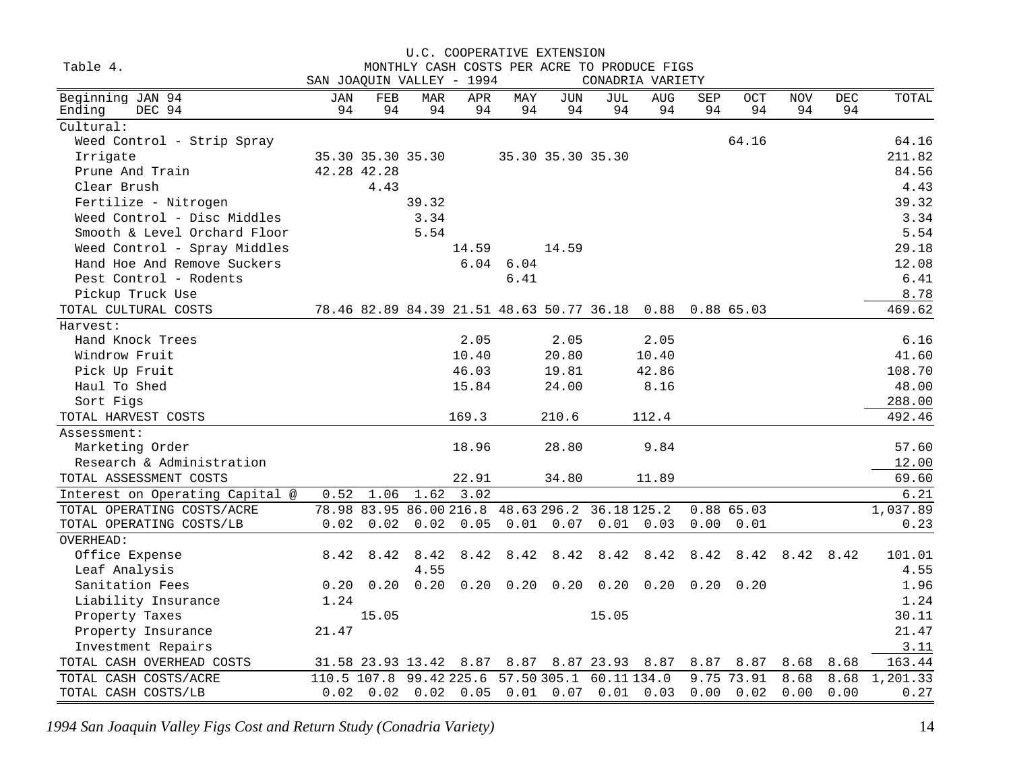| Table 4.<br>MONTHLY CASH COSTS PER ACRE TO PRODUCE FIGS<br>SAN JOAQUIN VALLEY - 1994<br>CONADRIA VARIETY<br>Beginning JAN 94<br><b>NOV</b><br><b>DEC</b><br>TOTAL<br>JAN<br>FEB<br>MAR<br>APR<br>MAY<br>JUN<br>JUL<br><b>AUG</b><br>SEP<br><b>OCT</b><br>94<br>94<br>94<br>Ending<br>DEC 94<br>94<br>94<br>94<br>94<br>94<br>94<br>94<br>94<br>94<br>Cultural:<br>64.16<br>64.16<br>Weed Control - Strip Spray<br>Irrigate<br>211.82<br>35.30 35.30 35.30<br>35.30 35.30 35.30<br>Prune And Train<br>42.28 42.28<br>84.56<br>4.43<br>Clear Brush<br>4.43<br>39.32<br>Fertilize - Nitrogen<br>39.32<br>Weed Control - Disc Middles<br>3.34<br>3.34<br>5.54<br>5.54<br>Smooth & Level Orchard Floor<br>29.18<br>Weed Control - Spray Middles<br>14.59<br>14.59<br>Hand Hoe And Remove Suckers<br>6.04 6.04<br>12.08<br>6.41<br>6.41<br>Pest Control - Rodents<br>8.78<br>Pickup Truck Use<br>TOTAL CULTURAL COSTS<br>78.46 82.89 84.39 21.51 48.63 50.77 36.18 0.88 0.88 65.03<br>469.62<br>Harvest:<br>Hand Knock Trees<br>2.05<br>2.05<br>2.05<br>6.16<br>Windrow Fruit<br>10.40<br>20.80<br>10.40<br>41.60<br>46.03<br>Pick Up Fruit<br>19.81<br>42.86<br>108.70<br>15.84<br>24.00<br>8.16<br>48.00<br>Haul To Shed<br>288.00<br>Sort Figs<br>TOTAL HARVEST COSTS<br>169.3<br>112.4<br>492.46<br>210.6<br>Assessment:<br>18.96<br>28.80<br>9.84<br>Marketing Order<br>Research & Administration<br>12.00<br>TOTAL ASSESSMENT COSTS<br>22.91<br>69.60<br>34.80<br>11.89<br>1.06<br>1.62<br>3.02<br>Interest on Operating Capital @<br>0.52<br>78.98 83.95 86.00 216.8 48.63 296.2 36.18 125.2<br>TOTAL OPERATING COSTS/ACRE<br>0.8865.03<br>1,037.89<br>$0.02$ $0.02$ $0.02$ $0.05$<br>$0.01$ 0.07<br>$0.01$ 0.03<br>0.23<br>TOTAL OPERATING COSTS/LB<br>0.00 0.01<br>OVERHEAD:<br>Office Expense<br>8.42<br>8.42<br>8.42<br>8.42<br>8.42<br>8.42<br>8.42<br>8.42<br>8.42<br>8.42<br>101.01<br>8.42<br>8.42<br>4.55<br>Leaf Analysis<br>4.55<br>0.20<br>0.20<br>Sanitation Fees<br>0.20<br>0.20<br>0.20<br>$0.20 \quad 0.20$<br>0.20<br>0.20<br>0.20<br>1.96<br>Liability Insurance<br>1.24<br>1.24<br>15.05<br>30.11<br>Property Taxes<br>15.05<br>21.47<br>21.47<br>Property Insurance<br>3.11<br>Investment Repairs<br>163.44<br>TOTAL CASH OVERHEAD COSTS<br>31.58 23.93 13.42 8.87 8.87 8.87 23.93 8.87<br>8.87<br>8.87<br>8.68<br>8.68<br>99.42 225.6<br>57.50 305.1 60.11 134.0<br>9.75 73.91<br>1,201.33<br>TOTAL CASH COSTS/ACRE<br>110.5 107.8<br>8.68<br>8.68<br>$0.02$ 0.02 0.02 0.05 0.01 0.07<br>$0.01 \quad 0.03$ |                     |  | U.C. COOPERATIVE EXTENSION |  |  |      |      |      |      |      |
|----------------------------------------------------------------------------------------------------------------------------------------------------------------------------------------------------------------------------------------------------------------------------------------------------------------------------------------------------------------------------------------------------------------------------------------------------------------------------------------------------------------------------------------------------------------------------------------------------------------------------------------------------------------------------------------------------------------------------------------------------------------------------------------------------------------------------------------------------------------------------------------------------------------------------------------------------------------------------------------------------------------------------------------------------------------------------------------------------------------------------------------------------------------------------------------------------------------------------------------------------------------------------------------------------------------------------------------------------------------------------------------------------------------------------------------------------------------------------------------------------------------------------------------------------------------------------------------------------------------------------------------------------------------------------------------------------------------------------------------------------------------------------------------------------------------------------------------------------------------------------------------------------------------------------------------------------------------------------------------------------------------------------------------------------------------------------------------------------------------------------------------------------------------------------------------------------------------------------------------------------------------------------------------------------------------------------------------------------------------------------------------------------------------------------------------------------------------------------------------------------------------------------------|---------------------|--|----------------------------|--|--|------|------|------|------|------|
|                                                                                                                                                                                                                                                                                                                                                                                                                                                                                                                                                                                                                                                                                                                                                                                                                                                                                                                                                                                                                                                                                                                                                                                                                                                                                                                                                                                                                                                                                                                                                                                                                                                                                                                                                                                                                                                                                                                                                                                                                                                                                                                                                                                                                                                                                                                                                                                                                                                                                                                                  |                     |  |                            |  |  |      |      |      |      |      |
|                                                                                                                                                                                                                                                                                                                                                                                                                                                                                                                                                                                                                                                                                                                                                                                                                                                                                                                                                                                                                                                                                                                                                                                                                                                                                                                                                                                                                                                                                                                                                                                                                                                                                                                                                                                                                                                                                                                                                                                                                                                                                                                                                                                                                                                                                                                                                                                                                                                                                                                                  |                     |  |                            |  |  |      |      |      |      |      |
|                                                                                                                                                                                                                                                                                                                                                                                                                                                                                                                                                                                                                                                                                                                                                                                                                                                                                                                                                                                                                                                                                                                                                                                                                                                                                                                                                                                                                                                                                                                                                                                                                                                                                                                                                                                                                                                                                                                                                                                                                                                                                                                                                                                                                                                                                                                                                                                                                                                                                                                                  |                     |  |                            |  |  |      |      |      |      |      |
|                                                                                                                                                                                                                                                                                                                                                                                                                                                                                                                                                                                                                                                                                                                                                                                                                                                                                                                                                                                                                                                                                                                                                                                                                                                                                                                                                                                                                                                                                                                                                                                                                                                                                                                                                                                                                                                                                                                                                                                                                                                                                                                                                                                                                                                                                                                                                                                                                                                                                                                                  |                     |  |                            |  |  |      |      |      |      |      |
|                                                                                                                                                                                                                                                                                                                                                                                                                                                                                                                                                                                                                                                                                                                                                                                                                                                                                                                                                                                                                                                                                                                                                                                                                                                                                                                                                                                                                                                                                                                                                                                                                                                                                                                                                                                                                                                                                                                                                                                                                                                                                                                                                                                                                                                                                                                                                                                                                                                                                                                                  |                     |  |                            |  |  |      |      |      |      |      |
|                                                                                                                                                                                                                                                                                                                                                                                                                                                                                                                                                                                                                                                                                                                                                                                                                                                                                                                                                                                                                                                                                                                                                                                                                                                                                                                                                                                                                                                                                                                                                                                                                                                                                                                                                                                                                                                                                                                                                                                                                                                                                                                                                                                                                                                                                                                                                                                                                                                                                                                                  |                     |  |                            |  |  |      |      |      |      |      |
|                                                                                                                                                                                                                                                                                                                                                                                                                                                                                                                                                                                                                                                                                                                                                                                                                                                                                                                                                                                                                                                                                                                                                                                                                                                                                                                                                                                                                                                                                                                                                                                                                                                                                                                                                                                                                                                                                                                                                                                                                                                                                                                                                                                                                                                                                                                                                                                                                                                                                                                                  |                     |  |                            |  |  |      |      |      |      |      |
|                                                                                                                                                                                                                                                                                                                                                                                                                                                                                                                                                                                                                                                                                                                                                                                                                                                                                                                                                                                                                                                                                                                                                                                                                                                                                                                                                                                                                                                                                                                                                                                                                                                                                                                                                                                                                                                                                                                                                                                                                                                                                                                                                                                                                                                                                                                                                                                                                                                                                                                                  |                     |  |                            |  |  |      |      |      |      |      |
|                                                                                                                                                                                                                                                                                                                                                                                                                                                                                                                                                                                                                                                                                                                                                                                                                                                                                                                                                                                                                                                                                                                                                                                                                                                                                                                                                                                                                                                                                                                                                                                                                                                                                                                                                                                                                                                                                                                                                                                                                                                                                                                                                                                                                                                                                                                                                                                                                                                                                                                                  |                     |  |                            |  |  |      |      |      |      |      |
|                                                                                                                                                                                                                                                                                                                                                                                                                                                                                                                                                                                                                                                                                                                                                                                                                                                                                                                                                                                                                                                                                                                                                                                                                                                                                                                                                                                                                                                                                                                                                                                                                                                                                                                                                                                                                                                                                                                                                                                                                                                                                                                                                                                                                                                                                                                                                                                                                                                                                                                                  |                     |  |                            |  |  |      |      |      |      |      |
|                                                                                                                                                                                                                                                                                                                                                                                                                                                                                                                                                                                                                                                                                                                                                                                                                                                                                                                                                                                                                                                                                                                                                                                                                                                                                                                                                                                                                                                                                                                                                                                                                                                                                                                                                                                                                                                                                                                                                                                                                                                                                                                                                                                                                                                                                                                                                                                                                                                                                                                                  |                     |  |                            |  |  |      |      |      |      |      |
|                                                                                                                                                                                                                                                                                                                                                                                                                                                                                                                                                                                                                                                                                                                                                                                                                                                                                                                                                                                                                                                                                                                                                                                                                                                                                                                                                                                                                                                                                                                                                                                                                                                                                                                                                                                                                                                                                                                                                                                                                                                                                                                                                                                                                                                                                                                                                                                                                                                                                                                                  |                     |  |                            |  |  |      |      |      |      |      |
|                                                                                                                                                                                                                                                                                                                                                                                                                                                                                                                                                                                                                                                                                                                                                                                                                                                                                                                                                                                                                                                                                                                                                                                                                                                                                                                                                                                                                                                                                                                                                                                                                                                                                                                                                                                                                                                                                                                                                                                                                                                                                                                                                                                                                                                                                                                                                                                                                                                                                                                                  |                     |  |                            |  |  |      |      |      |      |      |
|                                                                                                                                                                                                                                                                                                                                                                                                                                                                                                                                                                                                                                                                                                                                                                                                                                                                                                                                                                                                                                                                                                                                                                                                                                                                                                                                                                                                                                                                                                                                                                                                                                                                                                                                                                                                                                                                                                                                                                                                                                                                                                                                                                                                                                                                                                                                                                                                                                                                                                                                  |                     |  |                            |  |  |      |      |      |      |      |
|                                                                                                                                                                                                                                                                                                                                                                                                                                                                                                                                                                                                                                                                                                                                                                                                                                                                                                                                                                                                                                                                                                                                                                                                                                                                                                                                                                                                                                                                                                                                                                                                                                                                                                                                                                                                                                                                                                                                                                                                                                                                                                                                                                                                                                                                                                                                                                                                                                                                                                                                  |                     |  |                            |  |  |      |      |      |      |      |
|                                                                                                                                                                                                                                                                                                                                                                                                                                                                                                                                                                                                                                                                                                                                                                                                                                                                                                                                                                                                                                                                                                                                                                                                                                                                                                                                                                                                                                                                                                                                                                                                                                                                                                                                                                                                                                                                                                                                                                                                                                                                                                                                                                                                                                                                                                                                                                                                                                                                                                                                  |                     |  |                            |  |  |      |      |      |      |      |
|                                                                                                                                                                                                                                                                                                                                                                                                                                                                                                                                                                                                                                                                                                                                                                                                                                                                                                                                                                                                                                                                                                                                                                                                                                                                                                                                                                                                                                                                                                                                                                                                                                                                                                                                                                                                                                                                                                                                                                                                                                                                                                                                                                                                                                                                                                                                                                                                                                                                                                                                  |                     |  |                            |  |  |      |      |      |      |      |
| 57.60<br>$\overline{6.21}$                                                                                                                                                                                                                                                                                                                                                                                                                                                                                                                                                                                                                                                                                                                                                                                                                                                                                                                                                                                                                                                                                                                                                                                                                                                                                                                                                                                                                                                                                                                                                                                                                                                                                                                                                                                                                                                                                                                                                                                                                                                                                                                                                                                                                                                                                                                                                                                                                                                                                                       |                     |  |                            |  |  |      |      |      |      |      |
|                                                                                                                                                                                                                                                                                                                                                                                                                                                                                                                                                                                                                                                                                                                                                                                                                                                                                                                                                                                                                                                                                                                                                                                                                                                                                                                                                                                                                                                                                                                                                                                                                                                                                                                                                                                                                                                                                                                                                                                                                                                                                                                                                                                                                                                                                                                                                                                                                                                                                                                                  |                     |  |                            |  |  |      |      |      |      |      |
|                                                                                                                                                                                                                                                                                                                                                                                                                                                                                                                                                                                                                                                                                                                                                                                                                                                                                                                                                                                                                                                                                                                                                                                                                                                                                                                                                                                                                                                                                                                                                                                                                                                                                                                                                                                                                                                                                                                                                                                                                                                                                                                                                                                                                                                                                                                                                                                                                                                                                                                                  |                     |  |                            |  |  |      |      |      |      |      |
|                                                                                                                                                                                                                                                                                                                                                                                                                                                                                                                                                                                                                                                                                                                                                                                                                                                                                                                                                                                                                                                                                                                                                                                                                                                                                                                                                                                                                                                                                                                                                                                                                                                                                                                                                                                                                                                                                                                                                                                                                                                                                                                                                                                                                                                                                                                                                                                                                                                                                                                                  |                     |  |                            |  |  |      |      |      |      |      |
|                                                                                                                                                                                                                                                                                                                                                                                                                                                                                                                                                                                                                                                                                                                                                                                                                                                                                                                                                                                                                                                                                                                                                                                                                                                                                                                                                                                                                                                                                                                                                                                                                                                                                                                                                                                                                                                                                                                                                                                                                                                                                                                                                                                                                                                                                                                                                                                                                                                                                                                                  |                     |  |                            |  |  |      |      |      |      |      |
|                                                                                                                                                                                                                                                                                                                                                                                                                                                                                                                                                                                                                                                                                                                                                                                                                                                                                                                                                                                                                                                                                                                                                                                                                                                                                                                                                                                                                                                                                                                                                                                                                                                                                                                                                                                                                                                                                                                                                                                                                                                                                                                                                                                                                                                                                                                                                                                                                                                                                                                                  |                     |  |                            |  |  |      |      |      |      |      |
|                                                                                                                                                                                                                                                                                                                                                                                                                                                                                                                                                                                                                                                                                                                                                                                                                                                                                                                                                                                                                                                                                                                                                                                                                                                                                                                                                                                                                                                                                                                                                                                                                                                                                                                                                                                                                                                                                                                                                                                                                                                                                                                                                                                                                                                                                                                                                                                                                                                                                                                                  |                     |  |                            |  |  |      |      |      |      |      |
|                                                                                                                                                                                                                                                                                                                                                                                                                                                                                                                                                                                                                                                                                                                                                                                                                                                                                                                                                                                                                                                                                                                                                                                                                                                                                                                                                                                                                                                                                                                                                                                                                                                                                                                                                                                                                                                                                                                                                                                                                                                                                                                                                                                                                                                                                                                                                                                                                                                                                                                                  |                     |  |                            |  |  |      |      |      |      |      |
|                                                                                                                                                                                                                                                                                                                                                                                                                                                                                                                                                                                                                                                                                                                                                                                                                                                                                                                                                                                                                                                                                                                                                                                                                                                                                                                                                                                                                                                                                                                                                                                                                                                                                                                                                                                                                                                                                                                                                                                                                                                                                                                                                                                                                                                                                                                                                                                                                                                                                                                                  |                     |  |                            |  |  |      |      |      |      |      |
|                                                                                                                                                                                                                                                                                                                                                                                                                                                                                                                                                                                                                                                                                                                                                                                                                                                                                                                                                                                                                                                                                                                                                                                                                                                                                                                                                                                                                                                                                                                                                                                                                                                                                                                                                                                                                                                                                                                                                                                                                                                                                                                                                                                                                                                                                                                                                                                                                                                                                                                                  |                     |  |                            |  |  |      |      |      |      |      |
|                                                                                                                                                                                                                                                                                                                                                                                                                                                                                                                                                                                                                                                                                                                                                                                                                                                                                                                                                                                                                                                                                                                                                                                                                                                                                                                                                                                                                                                                                                                                                                                                                                                                                                                                                                                                                                                                                                                                                                                                                                                                                                                                                                                                                                                                                                                                                                                                                                                                                                                                  |                     |  |                            |  |  |      |      |      |      |      |
|                                                                                                                                                                                                                                                                                                                                                                                                                                                                                                                                                                                                                                                                                                                                                                                                                                                                                                                                                                                                                                                                                                                                                                                                                                                                                                                                                                                                                                                                                                                                                                                                                                                                                                                                                                                                                                                                                                                                                                                                                                                                                                                                                                                                                                                                                                                                                                                                                                                                                                                                  |                     |  |                            |  |  |      |      |      |      |      |
|                                                                                                                                                                                                                                                                                                                                                                                                                                                                                                                                                                                                                                                                                                                                                                                                                                                                                                                                                                                                                                                                                                                                                                                                                                                                                                                                                                                                                                                                                                                                                                                                                                                                                                                                                                                                                                                                                                                                                                                                                                                                                                                                                                                                                                                                                                                                                                                                                                                                                                                                  |                     |  |                            |  |  |      |      |      |      |      |
|                                                                                                                                                                                                                                                                                                                                                                                                                                                                                                                                                                                                                                                                                                                                                                                                                                                                                                                                                                                                                                                                                                                                                                                                                                                                                                                                                                                                                                                                                                                                                                                                                                                                                                                                                                                                                                                                                                                                                                                                                                                                                                                                                                                                                                                                                                                                                                                                                                                                                                                                  |                     |  |                            |  |  |      |      |      |      |      |
|                                                                                                                                                                                                                                                                                                                                                                                                                                                                                                                                                                                                                                                                                                                                                                                                                                                                                                                                                                                                                                                                                                                                                                                                                                                                                                                                                                                                                                                                                                                                                                                                                                                                                                                                                                                                                                                                                                                                                                                                                                                                                                                                                                                                                                                                                                                                                                                                                                                                                                                                  |                     |  |                            |  |  |      |      |      |      |      |
|                                                                                                                                                                                                                                                                                                                                                                                                                                                                                                                                                                                                                                                                                                                                                                                                                                                                                                                                                                                                                                                                                                                                                                                                                                                                                                                                                                                                                                                                                                                                                                                                                                                                                                                                                                                                                                                                                                                                                                                                                                                                                                                                                                                                                                                                                                                                                                                                                                                                                                                                  |                     |  |                            |  |  |      |      |      |      |      |
|                                                                                                                                                                                                                                                                                                                                                                                                                                                                                                                                                                                                                                                                                                                                                                                                                                                                                                                                                                                                                                                                                                                                                                                                                                                                                                                                                                                                                                                                                                                                                                                                                                                                                                                                                                                                                                                                                                                                                                                                                                                                                                                                                                                                                                                                                                                                                                                                                                                                                                                                  |                     |  |                            |  |  |      |      |      |      |      |
|                                                                                                                                                                                                                                                                                                                                                                                                                                                                                                                                                                                                                                                                                                                                                                                                                                                                                                                                                                                                                                                                                                                                                                                                                                                                                                                                                                                                                                                                                                                                                                                                                                                                                                                                                                                                                                                                                                                                                                                                                                                                                                                                                                                                                                                                                                                                                                                                                                                                                                                                  |                     |  |                            |  |  |      |      |      |      |      |
|                                                                                                                                                                                                                                                                                                                                                                                                                                                                                                                                                                                                                                                                                                                                                                                                                                                                                                                                                                                                                                                                                                                                                                                                                                                                                                                                                                                                                                                                                                                                                                                                                                                                                                                                                                                                                                                                                                                                                                                                                                                                                                                                                                                                                                                                                                                                                                                                                                                                                                                                  |                     |  |                            |  |  |      |      |      |      |      |
|                                                                                                                                                                                                                                                                                                                                                                                                                                                                                                                                                                                                                                                                                                                                                                                                                                                                                                                                                                                                                                                                                                                                                                                                                                                                                                                                                                                                                                                                                                                                                                                                                                                                                                                                                                                                                                                                                                                                                                                                                                                                                                                                                                                                                                                                                                                                                                                                                                                                                                                                  |                     |  |                            |  |  |      |      |      |      |      |
|                                                                                                                                                                                                                                                                                                                                                                                                                                                                                                                                                                                                                                                                                                                                                                                                                                                                                                                                                                                                                                                                                                                                                                                                                                                                                                                                                                                                                                                                                                                                                                                                                                                                                                                                                                                                                                                                                                                                                                                                                                                                                                                                                                                                                                                                                                                                                                                                                                                                                                                                  |                     |  |                            |  |  |      |      |      |      |      |
|                                                                                                                                                                                                                                                                                                                                                                                                                                                                                                                                                                                                                                                                                                                                                                                                                                                                                                                                                                                                                                                                                                                                                                                                                                                                                                                                                                                                                                                                                                                                                                                                                                                                                                                                                                                                                                                                                                                                                                                                                                                                                                                                                                                                                                                                                                                                                                                                                                                                                                                                  |                     |  |                            |  |  |      |      |      |      |      |
|                                                                                                                                                                                                                                                                                                                                                                                                                                                                                                                                                                                                                                                                                                                                                                                                                                                                                                                                                                                                                                                                                                                                                                                                                                                                                                                                                                                                                                                                                                                                                                                                                                                                                                                                                                                                                                                                                                                                                                                                                                                                                                                                                                                                                                                                                                                                                                                                                                                                                                                                  |                     |  |                            |  |  |      |      |      |      |      |
|                                                                                                                                                                                                                                                                                                                                                                                                                                                                                                                                                                                                                                                                                                                                                                                                                                                                                                                                                                                                                                                                                                                                                                                                                                                                                                                                                                                                                                                                                                                                                                                                                                                                                                                                                                                                                                                                                                                                                                                                                                                                                                                                                                                                                                                                                                                                                                                                                                                                                                                                  |                     |  |                            |  |  |      |      |      |      |      |
|                                                                                                                                                                                                                                                                                                                                                                                                                                                                                                                                                                                                                                                                                                                                                                                                                                                                                                                                                                                                                                                                                                                                                                                                                                                                                                                                                                                                                                                                                                                                                                                                                                                                                                                                                                                                                                                                                                                                                                                                                                                                                                                                                                                                                                                                                                                                                                                                                                                                                                                                  | TOTAL CASH COSTS/LB |  |                            |  |  | 0.00 | 0.02 | 0.00 | 0.00 | 0.27 |

*1994 San Joaquin Valley Figs Cost and Return Study (Conadria Variety)* 14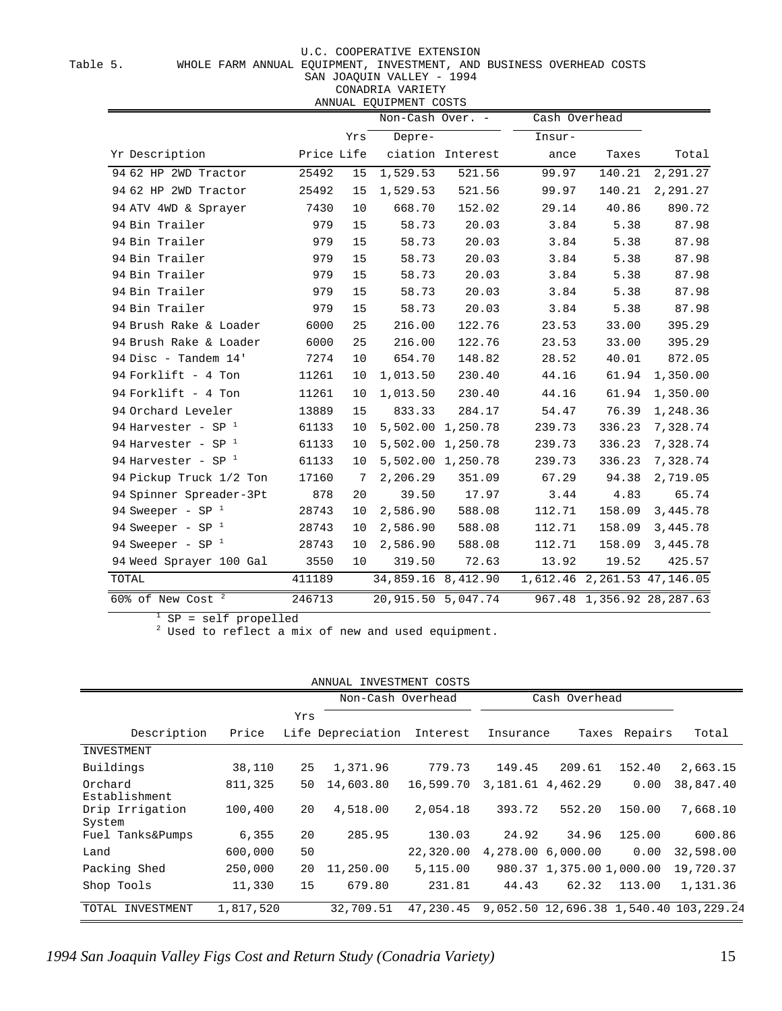Table 5. WHOLE FARM ANNUAL EQUIPMENT, INVESTMENT, AND BUSINESS OVERHEAD COSTS

SAN JOAQUIN VALLEY - 1994

CONADRIA VARIETY ANNUAL EQUIPMENT COSTS

|                                 |            |                | Immond ago findit coold<br>Non-Cash Over. - |                   | Cash Overhead |        |                             |
|---------------------------------|------------|----------------|---------------------------------------------|-------------------|---------------|--------|-----------------------------|
|                                 |            | Yrs            | Depre-                                      |                   | Insur-        |        |                             |
| Yr Description                  | Price Life |                |                                             | ciation Interest  | ance          | Taxes  | Total                       |
| 94 62 HP 2WD Tractor            | 25492      | 15             | 1,529.53                                    | 521.56            | 99.97         | 140.21 | 2,291.27                    |
| 94 62 HP 2WD Tractor            | 25492      | 15             | 1,529.53                                    | 521.56            | 99.97         | 140.21 | 2,291.27                    |
| 94 ATV 4WD & Sprayer            | 7430       | 10             | 668.70                                      | 152.02            | 29.14         | 40.86  | 890.72                      |
| 94 Bin Trailer                  | 979        | 15             | 58.73                                       | 20.03             | 3.84          | 5.38   | 87.98                       |
| 94 Bin Trailer                  | 979        | 15             | 58.73                                       | 20.03             | 3.84          | 5.38   | 87.98                       |
| 94 Bin Trailer                  | 979        | 15             | 58.73                                       | 20.03             | 3.84          | 5.38   | 87.98                       |
| 94 Bin Trailer                  | 979        | 15             | 58.73                                       | 20.03             | 3.84          | 5.38   | 87.98                       |
| 94 Bin Trailer                  | 979        | 15             | 58.73                                       | 20.03             | 3.84          | 5.38   | 87.98                       |
| 94 Bin Trailer                  | 979        | 15             | 58.73                                       | 20.03             | 3.84          | 5.38   | 87.98                       |
| 94 Brush Rake & Loader          | 6000       | 25             | 216.00                                      | 122.76            | 23.53         | 33.00  | 395.29                      |
| 94 Brush Rake & Loader          | 6000       | 25             | 216.00                                      | 122.76            | 23.53         | 33.00  | 395.29                      |
| 94 Disc - Tandem 14'            | 7274       | 10             | 654.70                                      | 148.82            | 28.52         | 40.01  | 872.05                      |
| 94 Forklift - 4 Ton             | 11261      | 10             | 1,013.50                                    | 230.40            | 44.16         | 61.94  | 1,350.00                    |
| 94 Forklift - 4 Ton             | 11261      | 10             | 1,013.50                                    | 230.40            | 44.16         | 61.94  | 1,350.00                    |
| 94 Orchard Leveler              | 13889      | 15             | 833.33                                      | 284.17            | 54.47         | 76.39  | 1,248.36                    |
| 94 Harvester - SP $1$           | 61133      | 10             |                                             | 5,502.00 1,250.78 | 239.73        | 336.23 | 7,328.74                    |
| 94 Harvester - SP $1$           | 61133      | 10             |                                             | 5,502.00 1,250.78 | 239.73        | 336.23 | 7,328.74                    |
| 94 Harvester - SP $1$           | 61133      | 10             |                                             | 5,502.00 1,250.78 | 239.73        | 336.23 | 7,328.74                    |
| 94 Pickup Truck 1/2 Ton         | 17160      | $\overline{7}$ | 2,206.29                                    | 351.09            | 67.29         | 94.38  | 2,719.05                    |
| 94 Spinner Spreader-3Pt         | 878        | 20             | 39.50                                       | 17.97             | 3.44          | 4.83   | 65.74                       |
| 94 Sweeper - SP $1$             | 28743      | 10             | 2,586.90                                    | 588.08            | 112.71        | 158.09 | 3,445.78                    |
| 94 Sweeper - SP $1$             | 28743      | 10             | 2,586.90                                    | 588.08            | 112.71        | 158.09 | 3,445.78                    |
| 94 Sweeper - SP $1$             | 28743      | 10             | 2,586.90                                    | 588.08            | 112.71        | 158.09 | 3,445.78                    |
| 94 Weed Sprayer 100 Gal         | 3550       | 10             | 319.50                                      | 72.63             | 13.92         | 19.52  | 425.57                      |
| TOTAL                           | 411189     |                | 34,859.16 8,412.90                          |                   |               |        | 1,612.46 2,261.53 47,146.05 |
| $60\%$ of New Cost <sup>2</sup> | 246713     |                | 20,915.50 5,047.74                          |                   |               |        | 967.48 1,356.92 28,287.63   |

 $1$  SP = self propelled

<sup>2</sup> Used to reflect a mix of new and used equipment.

| ANNUAL<br>INVESTMENT COSTS         |           |     |                   |           |                     |                          |         |                                        |  |
|------------------------------------|-----------|-----|-------------------|-----------|---------------------|--------------------------|---------|----------------------------------------|--|
| Cash Overhead<br>Non-Cash Overhead |           |     |                   |           |                     |                          |         |                                        |  |
|                                    |           | Yrs |                   |           |                     |                          |         |                                        |  |
| Description                        | Price     |     | Life Depreciation | Interest  | Insurance           | Taxes                    | Repairs | Total                                  |  |
| INVESTMENT                         |           |     |                   |           |                     |                          |         |                                        |  |
| Buildings                          | 38,110    | 25  | 1,371.96          | 779.73    | 149.45              | 209.61                   | 152.40  | 2,663.15                               |  |
| Orchard<br>Establishment           | 811,325   | 50  | 14,603.80         | 16,599.70 | 3, 181.61 4, 462.29 |                          | 0.00    | 38,847.40                              |  |
| Drip Irrigation<br>System          | 100,400   | 20  | 4,518.00          | 2,054.18  | 393.72              | 552.20                   | 150.00  | 7,668.10                               |  |
| Fuel Tanks&Pumps                   | 6,355     | 20  | 285.95            | 130.03    | 24.92               | 34.96                    | 125.00  | 600.86                                 |  |
| Land                               | 600,000   | 50  |                   | 22,320.00 |                     | 4,278.00 6,000.00        | 0.00    | 32,598.00                              |  |
| Packing Shed                       | 250,000   | 20  | 11,250.00         | 5,115.00  |                     | 980.37 1,375.00 1,000.00 |         | 19,720.37                              |  |
| Shop Tools                         | 11,330    | 15  | 679.80            | 231.81    | 44.43               | 62.32                    | 113.00  | 1,131.36                               |  |
| TOTAL<br>INVESTMENT                | 1,817,520 |     | 32,709.51         | 47,230.45 |                     |                          |         | 9,052.50 12,696.38 1,540.40 103,229.24 |  |

*1994 San Joaquin Valley Figs Cost and Return Study (Conadria Variety)* 15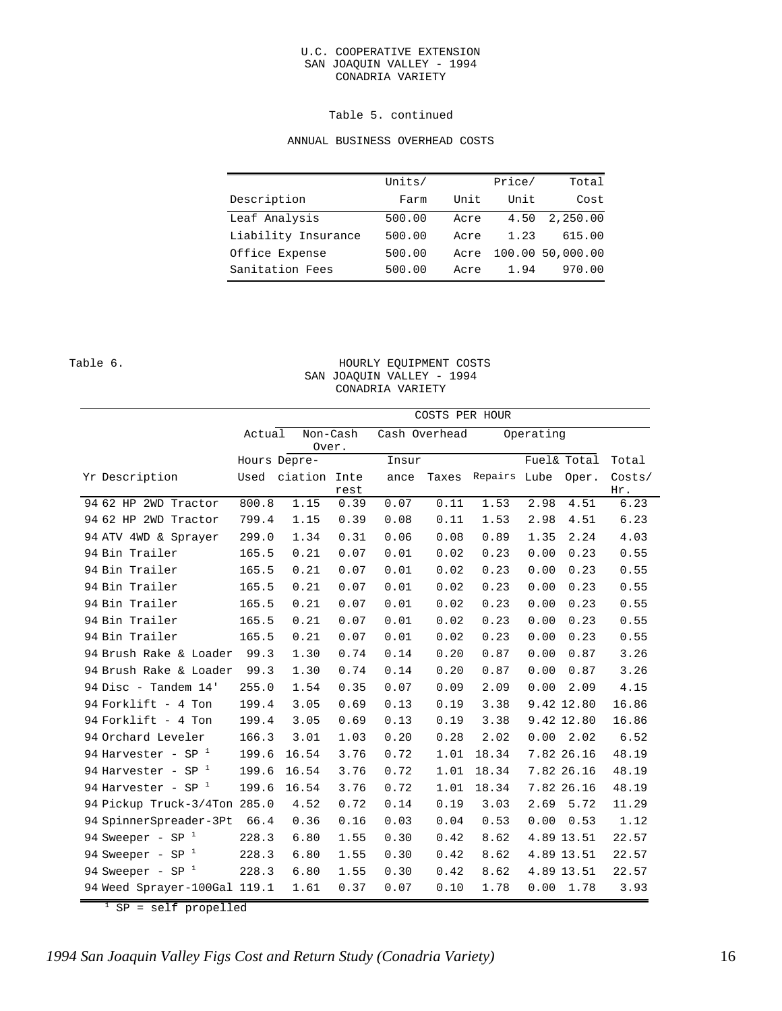#### U.C. COOPERATIVE EXTENSION SAN JOAQUIN VALLEY - 1994 CONADRIA VARIETY

#### Table 5. continued

#### ANNUAL BUSINESS OVERHEAD COSTS

|                     | Units/ |      | Price/ | Total            |
|---------------------|--------|------|--------|------------------|
| Description         | Farm   | Unit | Unit   | Cost             |
| Leaf Analysis       | 500.00 | Acre | 4.50   | 2,250.00         |
| Liability Insurance | 500.00 | Acre | 1.23   | 615.00           |
| Office Expense      | 500.00 | Acre |        | 100.00 50,000.00 |
| Sanitation Fees     | 500.00 | Acre | 1.94   | 970.00           |

#### Table 6. Table 6. SAN JOAQUIN VALLEY - 1994 CONADRIA VARIETY

|                              |              | COSTS PER HOUR    |      |      |               |              |      |             |               |  |  |
|------------------------------|--------------|-------------------|------|------|---------------|--------------|------|-------------|---------------|--|--|
|                              | Actual       | Non-Cash<br>Over. |      |      | Cash Overhead | Operating    |      |             |               |  |  |
|                              | Hours Depre- |                   |      |      | Insur         |              |      | Fuel& Total | Total         |  |  |
| Yr Description               | Used         | ciation Inte      | rest | ance | Taxes         | Repairs Lube |      | Oper.       | Costs/<br>Hr. |  |  |
| 94 62 HP 2WD Tractor         | 800.8        | 1.15              | 0.39 | 0.07 | 0.11          | 1.53         | 2.98 | 4.51        | 6.23          |  |  |
| 94 62 HP 2WD Tractor         | 799.4        | 1.15              | 0.39 | 0.08 | 0.11          | 1.53         | 2.98 | 4.51        | 6.23          |  |  |
| 94 ATV 4WD & Sprayer         | 299.0        | 1.34              | 0.31 | 0.06 | 0.08          | 0.89         | 1.35 | 2.24        | 4.03          |  |  |
| 94 Bin Trailer               | 165.5        | 0.21              | 0.07 | 0.01 | 0.02          | 0.23         | 0.00 | 0.23        | 0.55          |  |  |
| 94 Bin Trailer               | 165.5        | 0.21              | 0.07 | 0.01 | 0.02          | 0.23         | 0.00 | 0.23        | 0.55          |  |  |
| 94 Bin Trailer               | 165.5        | 0.21              | 0.07 | 0.01 | 0.02          | 0.23         | 0.00 | 0.23        | 0.55          |  |  |
| 94 Bin Trailer               | 165.5        | 0.21              | 0.07 | 0.01 | 0.02          | 0.23         | 0.00 | 0.23        | 0.55          |  |  |
| 94 Bin Trailer               | 165.5        | 0.21              | 0.07 | 0.01 | 0.02          | 0.23         | 0.00 | 0.23        | 0.55          |  |  |
| 94 Bin Trailer               | 165.5        | 0.21              | 0.07 | 0.01 | 0.02          | 0.23         | 0.00 | 0.23        | 0.55          |  |  |
| 94 Brush Rake & Loader       | 99.3         | 1.30              | 0.74 | 0.14 | 0.20          | 0.87         | 0.00 | 0.87        | 3.26          |  |  |
| 94 Brush Rake & Loader       | 99.3         | 1.30              | 0.74 | 0.14 | 0.20          | 0.87         | 0.00 | 0.87        | 3.26          |  |  |
| 94 Disc - Tandem 14'         | 255.0        | 1.54              | 0.35 | 0.07 | 0.09          | 2.09         | 0.00 | 2.09        | 4.15          |  |  |
| 94 Forklift - 4 Ton          | 199.4        | 3.05              | 0.69 | 0.13 | 0.19          | 3.38         |      | 9.42 12.80  | 16.86         |  |  |
| 94 Forklift - 4 Ton          | 199.4        | 3.05              | 0.69 | 0.13 | 0.19          | 3.38         |      | 9.42 12.80  | 16.86         |  |  |
| 94 Orchard Leveler           | 166.3        | 3.01              | 1.03 | 0.20 | 0.28          | 2.02         | 0.00 | 2.02        | 6.52          |  |  |
| 94 Harvester - SP $^1$       | 199.6        | 16.54             | 3.76 | 0.72 | 1.01          | 18.34        |      | 7.82 26.16  | 48.19         |  |  |
| 94 Harvester - SP $1$        | 199.6        | 16.54             | 3.76 | 0.72 | 1.01          | 18.34        |      | 7.82 26.16  | 48.19         |  |  |
| 94 Harvester - SP $1$        | 199.6        | 16.54             | 3.76 | 0.72 | 1.01          | 18.34        |      | 7.82 26.16  | 48.19         |  |  |
| 94 Pickup Truck-3/4Ton 285.0 |              | 4.52              | 0.72 | 0.14 | 0.19          | 3.03         | 2.69 | 5.72        | 11.29         |  |  |
| 94 SpinnerSpreader-3Pt       | 66.4         | 0.36              | 0.16 | 0.03 | 0.04          | 0.53         | 0.00 | 0.53        | 1.12          |  |  |
| 94 Sweeper - SP $1$          | 228.3        | 6.80              | 1.55 | 0.30 | 0.42          | 8.62         |      | 4.89 13.51  | 22.57         |  |  |
| 94 Sweeper - SP $1$          | 228.3        | 6.80              | 1.55 | 0.30 | 0.42          | 8.62         |      | 4.89 13.51  | 22.57         |  |  |
| 94 Sweeper - SP $1$          | 228.3        | 6.80              | 1.55 | 0.30 | 0.42          | 8.62         |      | 4.89 13.51  | 22.57         |  |  |
| 94 Weed Sprayer-100Gal 119.1 |              | 1.61              | 0.37 | 0.07 | 0.10          | 1.78         | 0.00 | 1.78        | 3.93          |  |  |

1 SP = self propelled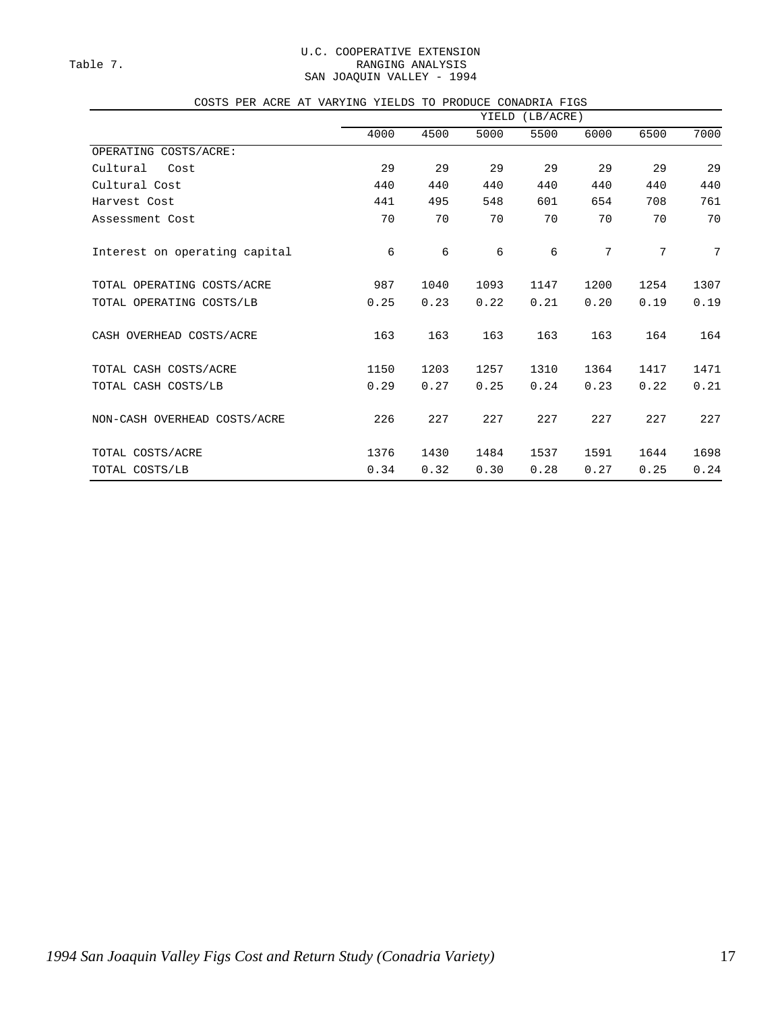#### U.C. COOPERATIVE EXTENSION Table 7. Table 7. SAN JOAQUIN VALLEY - 1994

|  |  |  |  |  |  |  |  | COSTS PER ACRE AT VARYING YIELDS TO PRODUCE CONADRIA FIGS |  |
|--|--|--|--|--|--|--|--|-----------------------------------------------------------|--|
|--|--|--|--|--|--|--|--|-----------------------------------------------------------|--|

|                               |      |      | YIELD | (LB/ACRE) |      |      |                 |
|-------------------------------|------|------|-------|-----------|------|------|-----------------|
|                               | 4000 | 4500 | 5000  | 5500      | 6000 | 6500 | 7000            |
| OPERATING COSTS/ACRE:         |      |      |       |           |      |      |                 |
| Cultural<br>Cost              | 29   | 29   | 29    | 29        | 29   | 29   | 29              |
| Cultural Cost                 | 440  | 440  | 440   | 440       | 440  | 440  | 440             |
| Harvest Cost                  | 441  | 495  | 548   | 601       | 654  | 708  | 761             |
| Assessment Cost               | 70   | 70   | 70    | 70        | 70   | 70   | 70              |
| Interest on operating capital | 6    | 6    | 6     | 6         | 7    | 7    | $7\phantom{.0}$ |
| TOTAL OPERATING COSTS/ACRE    | 987  | 1040 | 1093  | 1147      | 1200 | 1254 | 1307            |
| TOTAL OPERATING COSTS/LB      | 0.25 | 0.23 | 0.22  | 0.21      | 0.20 | 0.19 | 0.19            |
| CASH OVERHEAD COSTS/ACRE      | 163  | 163  | 163   | 163       | 163  | 164  | 164             |
| TOTAL CASH COSTS/ACRE         | 1150 | 1203 | 1257  | 1310      | 1364 | 1417 | 1471            |
| TOTAL CASH COSTS/LB           | 0.29 | 0.27 | 0.25  | 0.24      | 0.23 | 0.22 | 0.21            |
| NON-CASH OVERHEAD COSTS/ACRE  | 226  | 227  | 227   | 227       | 227  | 227  | 227             |
| TOTAL COSTS/ACRE              | 1376 | 1430 | 1484  | 1537      | 1591 | 1644 | 1698            |
| TOTAL COSTS/LB                | 0.34 | 0.32 | 0.30  | 0.28      | 0.27 | 0.25 | 0.24            |